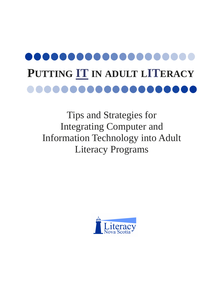# PUTTING **IT** IN ADULT LITERACY

Tips and Strategies for Integrating Computer and Information Technology into Adult Literacy Programs

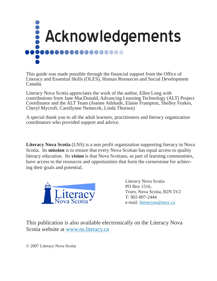

This guide was made possible through the financial support from the Office of Literacy and Essential Skills (OLES), Human Resources and Social Development Canada.

Literacy Nova Scotia appreciates the work of the author, Ellen Long with contributions from Jane MacDonald, Advancing Learning Technology (ALT) Project Coordinator and the ALT Team (Joanne Adshade, Elaine Frampton, Shelley Feakes, Cheryl Mycroft, Carollynne Nemecek, Linda Thorsen)

A special thank you to all the adult learners, practitioners and literacy organization coordinators who provided support and advice.

**Literacy Nova Scotia** (LNS) is a non profit organization supporting literacy in Nova Scotia. Its **mission** is to ensure that every Nova Scotian has equal access to quality literacy education. Its **vision** is that Nova Scotians, as part of learning communities, have access to the resources and opportunities that form the cornerstone for achieving their goals and potential.



Literacy Nova Scotia PO Box 1516, Truro, Nova Scotia, B2N 5V2 T: 902-897-2444 e-mail: [literacyns@nscc.ca](mailto:literacyns@nscc.ca) 

This publication is also available electronically on the Literacy Nova Scotia website at [www.ns.literacy.ca](http://www.ns.literacy.ca) 

© 2007 Literacy Nova Scotia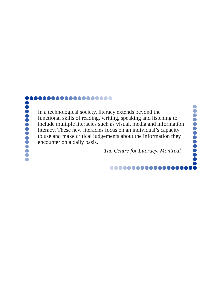#### ...................

In a technological society, literacy extends beyond the functional skills of reading, writing, speaking and listening to include multiple literacies such as visual, media and information literacy. These new literacies focus on an individual's capacity to use and make critical judgements about the information they encounter on a daily basis.

- *The Centre for Literacy, Montreal* 

...........

**..........**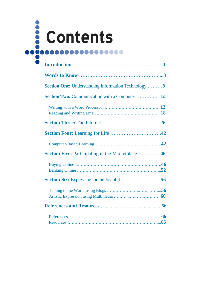

| <b>Section One:</b> Understanding Information Technology  8 |
|-------------------------------------------------------------|
| <b>Section Two:</b> Communicating with a Computer 12        |
|                                                             |
|                                                             |
|                                                             |
|                                                             |
| <b>Section Five:</b> Participating in the Marketplace 46    |
|                                                             |
|                                                             |
|                                                             |
|                                                             |
|                                                             |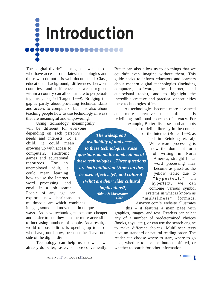<span id="page-4-0"></span>

The "digital divide" – the gap between those who have access to the latest technologies and those who do not – is well documented. Class, educational background, differences between countries, and differences between regions within a country can all contribute to perpetuating this gap (TechTarget 1999). Bridging the gap is partly about providing technical skills and access to computers but it is also about teaching people how to use technology in ways that are meaningful and empowering.

Using technology meaningfully will be different for everyone depending on each person's needs and interests. To a child, it could mean growing up with access to computers, electronic games and educational resources. For an unemployed adult, it could mean learning how to use the Internet, word processing, and email in a job search. People of any age can explore new horizons in multimedia art which combines

images, sound and movement in unique ways. As new technologies become cheaper and easier to use they become more accessible to increasing numbers of people. As a result, a world of possibilities is opening up to those who have, until now, been on the "have not" side of the digital divide.

Technology can help us do what we already do better, faster, or more conveniently.

But it can also allow us to do things that we couldn't even imagine without them. This guide seeks to inform educators and learners about modern digital technologies (including computers, software, the Internet, and audiovisual tools), and to highlight the incredible creative and practical opportunities these technologies offer.

As technologies become more advanced and more pervasive, their influence is redefining traditional concepts of literacy. For example, Bolter discusses and attempts

 *- Abbott & Masterman availability of and access to these technologies...raise questions about the implications of these technologies…These questions are both utilitarian (How can they be used effectively?) and cultural (What are their wider cultural implications?)* 

 *1997* 

of the Internet (Bolter 1998, as The widespread of the internet (Bolter 1998, as<br>cited in Reinking et. al). to re-define literacy in the context While word processing is now the dominant form of writing in North America, straight linear word processing may become as passé as the yellow tablet due to "hypertext." In hypertext, we can combine various symbol systems in what is known as "multilinear" formats. Amazon.com's website illustrates

> this – it features a main page with graphics, images, and text. Readers can select any of a number of predetermined choices (books, toys, etc.), or can use the search engine to make different choices. Multilinear texts have no standard or natural reading order. The reader can choose where to start, where to go next, whether to use the buttons offered, or whether to search for other information.

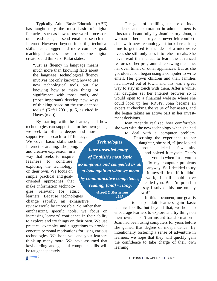Typically, Adult Basic Education (ABE) has taught only the most basic of digital literacies, such as how to use word processors or spreadsheets, or send email or search the Internet. However, beyond imparting technical skills lies a bigger and more complex goal: teaching learners how to become digital creators and thinkers. Kafai states:

"Just as fluency in language means much more than knowing facts about the language, technological fluency involves not only knowing how to use new technological tools, but also knowing how to make things of significance with those tools, and (most important) develop new ways of thinking based on the use of those tools." (Kafai 2001, p. 5, as cited in Hayes (n.d.)).

By starting with the learner, and how technologies can support his or her own goals, we seek to offer a deeper and more

supportive approach to IT literacy. We cover basic skills such as *Technologies* daughter, she said, "I just looked Internet searching, shopping, and creative expression, in a way that seeks to inspire learners to continue exploring the technology on their own. We focus on simple, practical, and goaloriented approaches that make information technologies relevant for adult **About & Masterman** own!" learners. Because technologies change rapidly, an exhaustive

review would be impossible. So rather than emphasizing specific tools, we focus on increasing learners' confidence in their ability to explore and try things on their own. We use practical examples and suggestions to provide concrete personal motivations for using various technologies. We hope you and your learners think up many more. We have assumed that keyboarding and general computer skills will be taught separately.

Our goal of instilling a sense of independence and exploration in adult learners is illustrated beautifully by Joan's story. Joan, a woman in her senior years, never felt comfortable with new technology. It took her a long time to get used to the idea of a microwave oven; she still only uses it to reheat meals. She never read the manual to learn the advanced features of her programmable sewing machine, her oven timer, or other appliances. But as she got older, Joan began using a computer to write email. Her grown children and their families had moved out of town, and this was a great way to stay in touch with them. After a while, her daughter set her Internet browser so it would open to a financial website where she could look up her RRSPs. Joan became an expert at checking the value of her assets, and she began taking an active part in her investment decisions.

Joan recently realized how comfortable she was with the new technology when she had

to deal with a computer problem. Describing the experience to her around, clicked a few links, and solved it myself. That's all you do when I ask you to fix my computer problems anyway. So I decided to try it myself first. If it didn't work, I still could have called you. But I'm proud to say I solved this one on my

In this document, our goal is to help adult learners gain basic

technical skills, but beyond that, we hope to encourage learners to explore and try things on their own. It isn't an instant transformation – Joan had been using computers for years before she gained that degree of independence. By intentionally fostering a sense of adventure in learners, we hope that they will quickly gain the confidence to take charge of their own learning.

of English's most basic *have unsettled many of English's most basic assumptions and compelled us all to look again at what we mean by communicative competence, reading, [and] writing.* 

> *-Abbott & Masterman 1997*

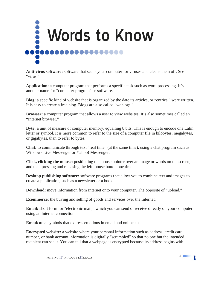<span id="page-6-0"></span>

**Anti-virus software:** software that scans your computer for viruses and cleans them off. See "virus."

**Application:** a computer program that performs a specific task such as word processing. It's another name for "computer program" or software.

**Blog:** a specific kind of website that is organized by the date its articles, or "entries," were written. It is easy to create a free blog. Blogs are also called "weblogs."

**Browser:** a computer program that allows a user to view websites. It's also sometimes called an "Internet browser."

**Byte:** a unit of measure of computer memory, equalling 8 bits. This is enough to encode one Latin letter or symbol. It is more common to refer to the size of a computer file in kilobytes, megabytes, or gigabytes, than to refer to bytes.

**Chat:** to communicate through text "real time" (at the same time), using a chat program such as Windows Live Messenger or Yahoo! Messenger.

**Click, clicking the mouse:** positioning the mouse pointer over an image or words on the screen, and then pressing and releasing the left mouse button one time.

**Desktop publishing software:** software programs that allow you to combine text and images to create a publication, such as a newsletter or a book.

**Download:** move information from Internet onto your computer. The opposite of "upload."

**Ecommerce:** the buying and selling of goods and services over the Internet.

**Email:** short form for "electronic mail," which you can send or receive directly on your computer using an Internet connection.

**Emoticons:** symbols that express emotions in email and online chats.

**Encrypted website:** a website where your personal information such as address, credit card number, or bank account information is digitally "scrambled" so that no one but the intended recipient can see it. You can tell that a webpage is encrypted because its address begins with

Ť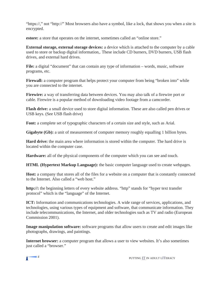"https://," not "http://" Most browsers also have a symbol, like a lock, that shows you when a site is encrypted.

**estore:** a store that operates on the internet, sometimes called an "online store."

**External storage, external storage devices:** a device which is attached to the computer by a cable used to store or backup digital information,. These include CD burners, DVD burners, USB flash drives, and external hard drives.

File: a digital "document" that can contain any type of information – words, music, software programs, etc.

**Firewall:** a computer program that helps protect your computer from being "broken into" while you are connected to the internet.

**Firewire:** a way of transferring data between devices. You may also talk of a firewire port or cable. Firewire is a popular method of downloading video footage from a camcorder.

**Flash drive:** a small device used to store digital information. These are also called pen drives or USB keys. (See USB flash drive)

**Font:** a complete set of typographic characters of a certain size and style, such as Arial.

**Gigabyte (Gb):** a unit of measurement of computer memory roughly equalling 1 billion bytes.

**Hard drive:** the main area where information is stored within the computer. The hard drive is located within the computer case.

**Hardware:** all of the physical components of the computer which you can see and touch.

**HTML (Hypertext Markup Language):** the basic computer language used to create webpages.

**Host:** a company that stores all of the files for a website on a computer that is constantly connected to the Internet. Also called a "web host."

**http://:** the beginning letters of every website address. "http" stands for "hyper text transfer protocol" which is the "language" of the Internet.

**ICT:** Information and communications technologies. A wide range of services, applications, and technologies, using various types of equipment and software, that communicate information. They include telecommunications, the Internet, and older technologies such as TV and radio (European Commission 2001).

**Image manipulation software:** software programs that allow users to create and edit images like photographs, drawings, and paintings.

**Internet browser:** a computer program that allows a user to view websites. It's also sometimes just called a "browser."

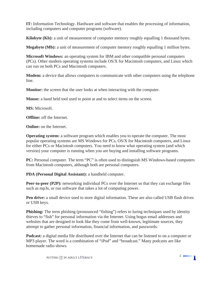**IT:** Information Technology. Hardware and software that enables the processing of information, including computers and computer programs (software).

**Kilobyte (Kb):** a unit of measurement of computer memory roughly equalling 1 thousand bytes.

**Megabyte (Mb):** a unit of measurement of computer memory roughly equalling 1 million bytes.

**Microsoft Windows:** an operating system for IBM and other compatible personal computers (PCs). Other modern operating systems include OS/X for Macintosh computers, and Linux which can run on both PCs and Macintosh computers.

**Modem:** a device that allows computers to communicate with other computers using the telephone line.

**Monitor:** the screen that the user looks at when interacting with the computer.

**Mouse:** a hand held tool used to point at and to select items on the screen.

**MS:** Microsoft.

**Offline:** off the Internet.

**Online:** on the Internet.

**Operating system:** a software program which enables you to operate the computer. The most popular operating systems are MS Windows for PCs, OS/X for Macintosh computers, and Linux for either PCs or Macintosh computers. You need to know what operating system (and which version) your computer is running when you are buying and installing software programs.

**PC:** Personal computer. The term "PC" is often used to distinguish MS Windows-based computers from Macintosh computers, although both are personal computers.

**PDA (Personal Digital Assistant):** a handheld computer.

**Peer-to-peer (P2P):** networking individual PCs over the Internet so that they can exchange files such as mp3s, or run software that takes a lot of computing power.

**Pen drive:** a small device used to store digital information. These are also called USB flash drives or USB keys.

**Phishing:** The term phishing (pronounced "fishing") refers to luring techniques used by identity thieves to "fish" for personal information via the Internet. Using bogus email addresses and websites that are designed to look like they come from well-known, legitimate sources, they attempt to gather personal information, financial information, and passwords.

**Podcast:** a digital media file distributed over the Internet that can be listened to on a computer or MP3 player. The word is a combination of "iPod" and "broadcast." Many podcasts are like homemade radio shows.

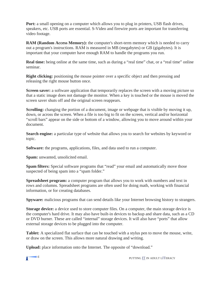**Port:** a small opening on a computer which allows you to plug in printers, USB flash drives, speakers, etc. USB ports are essential. S-Video and firewire ports are important for transferring video footage.

**RAM (Random Access Memory):** the computer's short-term memory which is needed to carry out a program's instructions. RAM is measured in MB (megabytes) or GB (gigabytes). It is important that your computer have enough RAM to handle the programs you run.

**Real time:** being online at the same time, such as during a "real time" chat, or a "real time" online seminar.

**Right clicking:** positioning the mouse pointer over a specific object and then pressing and releasing the right mouse button once.

**Screen saver:** a software application that temporarily replaces the screen with a moving picture so that a static image does not damage the monitor. When a key is touched or the mouse is moved the screen saver shuts off and the original screen reappears.

**Scrolling:** changing the portion of a document, image or webpage that is visible by moving it up, down, or across the screen. When a file is too big to fit on the screen, vertical and/or horizontal "scroll bars" appear on the side or bottom of a window, allowing you to move around within your document.

**Search engine:** a particular type of website that allows you to search for websites by keyword or topic.

**Software:** the programs, applications, files, and data used to run a computer.

**Spam:** unwanted, unsolicited email.

**Spam filters:** Special software programs that "read" your email and automatically move those suspected of being spam into a "spam folder."

**Spreadsheet program:** a computer program that allows you to work with numbers and text in rows and columns. Spreadsheet programs are often used for doing math, working with financial information, or for creating databases.

**Spyware:** malicious programs that can send details like your Internet browsing history to strangers.

**Storage device:** a device used to store computer files. On a computer, the main storage device is the computer's hard drive. It may also have built-in devices to backup and share data, such as a CD or DVD burner. These are called "internal" storage devices. It will also have "ports" that allow external storage devices to be plugged into the computer.

**Tablet:** A specialized flat surface that can be touched with a stylus pen to move the mouse, write, or draw on the screen. This allows more natural drawing and writing.

**Upload:** place information onto the Internet. The opposite of "download."

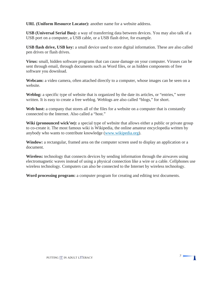**URL (Uniform Resource Locator):** another name for a website address.

**USB (Universal Serial Bus):** a way of transferring data between devices. You may also talk of a USB port on a computer, a USB cable, or a USB flash drive, for example.

**USB flash drive, USB key:** a small device used to store digital information. These are also called pen drives or flash drives.

**Virus:** small, hidden software programs that can cause damage on your computer. Viruses can be sent through email, through documents such as Word files, or as hidden components of free software you download.

**Webcam:** a video camera, often attached directly to a computer, whose images can be seen on a website.

**Weblog:** a specific type of website that is organized by the date its articles, or "entries," were written. It is easy to create a free weblog. Weblogs are also called "blogs," for short.

Web host: a company that stores all of the files for a website on a computer that is constantly connected to the Internet. Also called a "host."

Wiki (pronounced wick'ee): a special type of website that allows either a public or private group to co-create it. The most famous wiki is Wikipedia, the online amateur encyclopedia written by anybody who wants to contribute knowledge [\(www.wikipedia.org\).](http://www.wikipedia.org) 

**Window:** a rectangular, framed area on the computer screen used to display an application or a document.

**Wireless:** technology that connects devices by sending information through the airwaves using electromagnetic waves instead of using a physical connection like a wire or a cable. Cellphones use wireless technology. Computers can also be connected to the Internet by wireless technology.

Ť

**Word processing program:** a computer program for creating and editing text documents.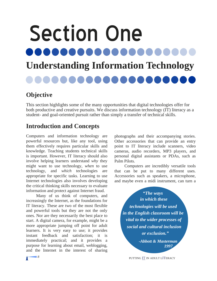# <span id="page-11-0"></span>Section One ...... **Understanding Information Technology**

# **Objective**

This section highlights some of the many opportunities that digital technologies offer for both productive and creative pursuits. We discuss information technology (IT) literacy as a student- and goal-oriented pursuit rather than simply a transfer of technical skills.

# **Introduction and Concepts**

Computers and information technology are powerful resources but, like any tool, using them effectively requires particular skills and knowledge. Teaching students technical skills is important. However, IT literacy should also involve helping learners understand *why* they might want to use technology, *when* to use technology, and *which* technologies are appropriate for specific tasks. Learning to use Internet technologies also involves developing the critical thinking skills necessary to evaluate information and protect against Internet fraud.

Many of us think of computers, and increasingly the Internet, as the foundations for IT literacy. These are two of the most flexible and powerful tools but they are not the only ones. Nor are they necessarily the best place to start. A digital camera, for example, might be a more appropriate jumping off point for adult learners. It is very easy to use; it provides instant feedback and satisfaction; it is immediately practical; and it provides a purpose for learning about email, weblogging, and the Internet in the interest of sharing

photographs and their accompanying stories. Other accessories that can provide an entry point to IT literacy include scanners, video cameras, audio recorders, MP3 players, and personal digital assistants or PDAs, such as Palm Pilots.

Computers are incredibly versatile tools that can be put to many different uses. Accessories such as speakers, a microphone, and maybe even a midi instrument, can turn a

*"The ways in which these technologies will be used in the English classroom will be vital to the wider processes of social and cultural inclusion or exclusion."* 

> *-Abbott & Masterman 1997*

**8** 8 **PUTTING IT IN ADULT LITERACY**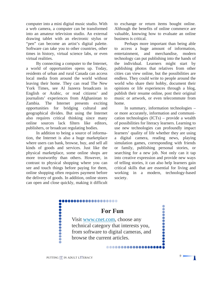computer into a mini digital music studio. With a web camera, a computer can be transformed into an amateur television studio. An external drawing tablet with an electronic stylus or "pen" can become an artist's digital palette. Software can take you to other countries, other times in history, virtual science labs, or even virtual realities.

By connecting a computer to the Internet, a world of opportunities opens up. Today, residents of urban and rural Canada can access local media from around the world without leaving their home. They can read The New York Times, see Al Jazeera broadcasts in English or Arabic, or read citizens' and journalists' experiences from Afghanistan to Zambia. The Internet presents exciting opportunities for bridging cultural and geographical divides. But using the Internet also requires critical thinking since many online sources lack filters like editors, publishers, or broadcast regulating bodies.

In addition to being a source of information, the Internet is also a huge marketplace where users can bank, browse, buy, and sell all kinds of goods and services. Just like the physical marketplace, some online shops are more trustworthy than others. However, in contrast to physical shopping where you can see and touch things before paying for them, online shopping often requires payment before the delivery of goods. In addition, online stores can open and close quickly, making it difficult to exchange or return items bought online. Although the benefits of online commerce are valuable, knowing how to evaluate an online business is critical.

Perhaps more important than being able to access a huge amount of information, entertainment, and merchandise, modern technology can put publishing into the hands of the individual. Learners might start by publishing photos that relatives from other cities can view online, but the possibilities are endless. They could write to people around the world who share their hobby, document their opinions or life experiences through a blog, publish their resume online, post their original music or artwork, or even telecommute from home.

In summary, information technologies – or more accurately, information and communication technologies (ICTs) – provide a wealth of possibilities for literacy learners. Learning to use new technologies can profoundly impact learners' quality of life whether they are using a digital camera, reading news, playing simulation games, corresponding with friends or family, publishing personal stories, or searching for a new job. Not only can it tap into creative expression and provide new ways of telling stories, it can also help learners gain critical skills that are essential for living and working in a modern, technology-based society.

n

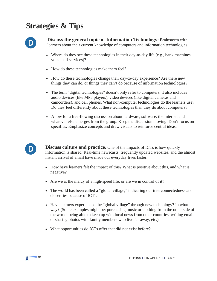# **Strategies & Tips**



**Discuss the general topic of Information Technology: Brainstorm with** learners about their current knowledge of computers and information technologies.

- Where do they see these technologies in their day-to-day life (e.g., bank machines, voicemail services)?
- How do these technologies make them feel?
- How do these technologies change their day-to-day experience? Are there new things they can do, or things they can't do because of information technologies?
- The term "digital technologies" doesn't only refer to computers; it also includes audio devices (like MP3 players), video devices (like digital cameras and camcorders), and cell phones. What non-computer technologies do the learners use? Do they feel differently about these technologies than they do about computers?
- Allow for a free-flowing discussion about hardware, software, the Internet and whatever else emerges from the group. Keep the discussion moving. Don't focus on specifics. Emphasize concepts and draw visuals to reinforce central ideas.



**Discuss culture and practice:** One of the impacts of ICTs is how quickly information is shared. Real-time newscasts, frequently updated websites, and the almost instant arrival of email have made our everyday lives faster.

- How have learners felt the impact of this? What is positive about this, and what is negative?
- Are we at the mercy of a high-speed life, or are we in control of it?
- The world has been called a "global village," indicating our interconnectedness and closer ties because of ICTs.
- Have learners experienced the "global village" through new technology? In what way? (Some examples might be: purchasing music or clothing from the other side of the world, being able to keep up with local news from other countries, writing email or sharing photos with family members who live far away, etc.)
- What opportunities do ICTs offer that did not exist before?

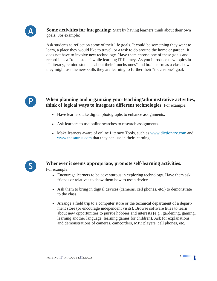

**Some activities for integrating:** Start by having learners think about their own goals. For example:

Ask students to reflect on some of their life goals. It could be something they want to learn, a place they would like to travel, or a task to do around the home or garden. It does not have to involve new technology. Have them choose one of these goals and record it as a "touchstone" while learning IT literacy. As you introduce new topics in IT literacy, remind students about their "touchstones" and brainstorm as a class how they might use the new skills they are learning to further their "touchstone" goal.



**When planning and organizing your teaching/administrative activities, think of logical ways to integrate different technologies**. For example:

- Have learners take digital photographs to enhance assignments.
- Ask learners to use online searches to research assignments.
- Make learners aware of online Literacy Tools, such as [www.dictionary.com an](http://www.dictionary.com)d [www.thesaurus.com th](http://www.thesaurus.com)at they can use in their learning.



#### **Whenever it seems appropriate, promote self-learning activities.**  For example:

- Encourage learners to be adventurous in exploring technology. Have them ask friends or relatives to show them how to use a device.
- Ask them to bring in digital devices (cameras, cell phones, etc.) to demonstrate to the class.
- Arrange a field trip to a computer store or the technical department of a department store (or encourage independent visits). Browse software titles to learn about new opportunities to pursue hobbies and interests (e.g., gardening, gaming, learning another language, learning games for children). Ask for explanations and demonstrations of cameras, camcorders, MP3 players, cell phones, etc.



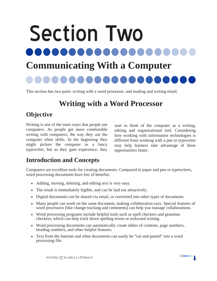# <span id="page-15-0"></span>Section Two ..... **Communicating With a Computer**

This section has two parts: writing with a word processor, and reading and writing email.

# **Writing with a Word Processor**

# **Objective**

Writing is one of the main ways that people use computers. As people get more comfortable writing with computers, the way they use the computer often shifts. In the beginning they might picture the computer as a fancy typewriter, but as they gain experience, they

start to think of the computer as a writing, editing and organizational tool. Considering how working with information technologies is different from working with a pen or typewriter may help learners take advantage of these opportunities faster.

# **Introduction and Concepts**

Computers are excellent tools for creating documents. Compared to paper and pen or typewriters, word processing documents have lots of benefits:

- Adding, moving, deleting, and editing text is very easy.
- The result is immediately legible, and can be laid out attractively.
- Digital documents can be shared via email, or converted into other types of documents.
- Many people can work on the same document, making collaboration easy. Special features of word processors (like change tracking and comments) can help you manage collaborations.
- Word processing programs include helpful tools such as spell checkers and grammar checkers, which can help track down spelling errors or awkward writing.
- Word processing documents can automatically create tables of contents, page numbers, heading numbers, and other helpful features.
- Text from the Internet and other documents can easily be "cut and pasted" into a word processing file.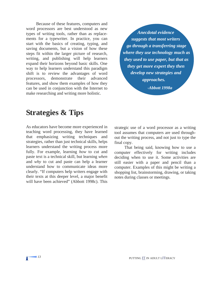Because of these features, computers and word processors are best understood as new types of writing tools, rather than as replacements for a typewriter. In practice, you can start with the basics of creating, typing, and saving documents, but a vision of how these steps fit within the larger picture of research, writing, and publishing will help learners expand their horizons beyond basic skills. One way to help learners understand this paradigm shift is to review the advantages of word processors, demonstrate their advanced features, and show them examples of how they can be used in conjunction with the Internet to make researching and writing more holistic.

*Anecdotal evidence suggests that most writers go through a transferring stage where they use technology much as they used to use paper, but that as they get more expert they then develop new strategies and approaches. -Abbott 1998a* 

# **Strategies & Tips**

As educators have become more experienced in teaching word processing, they have learned that emphasizing writing techniques and strategies, rather than just technical skills, helps learners understand the writing process more fully. For example, learning *how* to cut and paste text is a technical skill, but learning *when*  and *why* to cut and paste can help a learner understand how to communicate ideas more clearly. "If computers help writers engage with their texts at this deeper level, a major benefit will have been achieved" (Abbott 1998c). This

strategic use of a word processor as a writing tool assumes that computers are used throughout the writing process, and not just to type the final copy.

That being said, knowing how to use a computer effectively for writing includes deciding when to use it. Some activities are still easier with a paper and pencil than a computer. Examples of this might be writing a shopping list, brainstorming, drawing, or taking notes during classes or meetings.

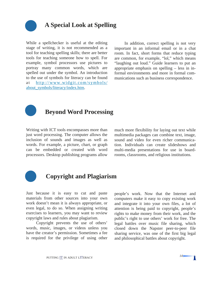

# **A Special Look at Spelling**

While a spellchecker is useful at the editing stage of writing, it is not recommended as a tool for teaching spelling skills; there are better tools for teaching someone how to spell. For example, symbol processors use pictures to portray many common words, which are spelled out under the symbol. An introduction to the use of symbols for literacy can be found at [http://www.widgit.com/symbols/](http://www.widgit.com/symbols/about_symbols/literacy/index.htm)  [about\\_symbols/literacy/index.htm.](http://www.widgit.com/symbols/about_symbols/literacy/index.htm)

In addition, correct spelling is not very important in an informal email or in a chat room. In fact, short forms that reduce typing are common, for example, "lol," which means "laughing out loud." Guide learners to put an appropriate emphasis on spelling – less in informal environments and more in formal communications such as business correspondence.



### **Beyond Word Processing**

Writing with ICT tools encompasses more than just word processing. The computer allows the inclusion of sounds and images as well as words. For example, a picture, chart, or graph can be embedded or created with word processors. Desktop publishing programs allow much more flexibility for laying out text while multimedia packages can combine text, image, sound and video for even richer communication. Individuals can create slideshows and multi-media presentations for use in boardrooms, classrooms, and religious institutions.



# **Copyright and Plagiarism**

Just because it is easy to cut and paste materials from other sources into your own work doesn't mean it is always appropriate, or even legal, to do so. When assigning writing exercises to learners, you may want to review copyright laws and rules about plagiarism.

 Copyright prevents the use of others' words, music, images, or videos unless you have the creator's permission. Sometimes a fee is required for the privilege of using other people's work. Now that the Internet and computers make it easy to copy existing work and integrate it into your own files, a lot of attention is being paid to copyright, people's rights to make money from their work, and the public's right to use others' work for free. The legal battles over music file sharing, which closed down the Napster peer-to-peer file sharing service, was one of the first big legal and philosophical battles about copyright.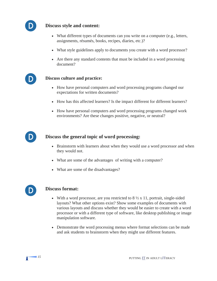

D

#### **Discuss style and content:**

- What different types of documents can you write on a computer (e.g., letters, assignments, résumés, books, recipes, diaries, etc.)?
- What style guidelines apply to documents you create with a word processor?
- Are there any standard contents that must be included in a word processing document?

#### **Discuss culture and practice:**

- How have personal computers and word processing programs changed our expectations for written documents?
- How has this affected learners? Is the impact different for different learners?
- How have personal computers and word processing programs changed work environments? Are these changes positive, negative, or neutral?



#### **Discuss the general topic of word processing:**

- Brainstorm with learners about when they would use a word processor and when they would not.
- What are some of the advantages of writing with a computer?
- What are some of the disadvantages?



#### **Discuss format:**

- With a word processor, are you restricted to  $8\frac{1}{2} \times 11$ , portrait, single-sided layouts? What other options exist? Show some examples of documents with various layouts and discuss whether they would be easier to create with a word processor or with a different type of software, like desktop publishing or image manipulation software.
- Demonstrate the word processing menus where format selections can be made and ask students to brainstorm when they might use different features.

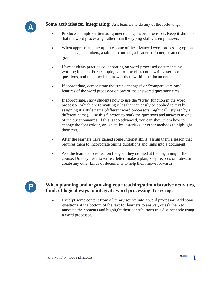

**Some activities for integrating:** Ask learners to do any of the following:

- Produce a simple written assignment using a word processor. Keep it short so that the word processing, rather than the typing skills, is emphasized.
- When appropriate, incorporate some of the advanced word processing options, such as page numbers, a table of contents, a header or footer, or an embedded graphic.
- Have students practice collaborating on word-processed documents by working in pairs. For example, half of the class could write a series of questions, and the other half answer them within the document.
- If appropriate, demonstrate the "track changes" or "compare versions" features of the word processor on one of the answered questionnaires.
- If appropriate, show students how to use the "style" function in the word processor, which are formatting rules that can easily be applied to text by assigning it a style name (different word processors might call "styles" by a different name). Use this function to mark the questions and answers in one of the questionnaires. If this is too advanced, you can show them how to change the font colour, or use italics, asterisks, or other methods to highlight their text.
- After the learners have gained some Internet skills, assign them a lesson that requires them to incorporate online quotations and links into a document.
- Ask the learners to reflect on the goal they defined at the beginning of the course. Do they need to write a letter, make a plan, keep records or notes, or create any other kinds of documents to help them move forward?



#### **When planning and organizing your teaching/administrative activities, think of logical ways to integrate word processing**. For example:

Excerpt some content from a literary source into a word processor. Add some questions at the bottom of the text for learners to answer, or ask them to annotate the contents and highlight their contributions in a distinct style using a word processor.

Т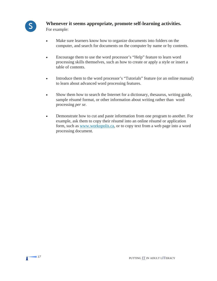

# **S Whenever it seems appropriate, promote self-learning activities.**

For example:

- Make sure learners know how to organize documents into folders on the computer, and search for documents on the computer by name or by contents.
- Encourage them to use the word processor's "Help" feature to learn word processing skills themselves, such as how to create or apply a style or insert a table of contents.
- Introduce them to the word processor's "Tutorials" feature (or an online manual) to learn about advanced word processing features.
- Show them how to search the Internet for a dictionary, thesaurus, writing guide, sample résumé format, or other information about writing rather than word processing *per se*.
- Demonstrate how to cut and paste information from one program to another. For example, ask them to copy their résumé into an online résumé or application form, such as [www.workopolis.ca,](http://www.workopolis.ca) or to copy text from a web page into a word processing document.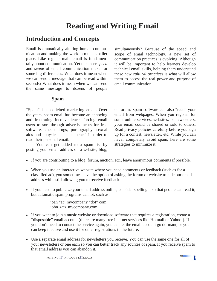# **Reading and Writing Email**

### <span id="page-21-0"></span>**Introduction and Concepts**

Email is dramatically altering human communication and making the world a much smaller place. Like regular mail, email is fundamentally about communication. Yet the sheer *speed*  and *scope* of email communication make for some big differences. What does it mean when we can send a message that can be read within seconds? What does it mean when we can send the same message to dozens of people

simultaneously? Because of the speed and scope of email technology, a new set of communication practices is evolving. Although it will be important to help learners develop technical email skills, helping them understand these new *cultural practices* is what will allow them to access the real power and purpose of email communication.

#### **Spam**

"Spam" is unsolicited marketing email. Over the years, spam email has become an annoying and frustrating inconvenience, forcing email users to sort through advertisements for free software, cheap drugs, pornography, sexual aids and "physical enhancements" in order to read their personal email.

You can get added to a spam list by posting your email address on a website, blog,

or forum. Spam software can also "read" your email from webpages. When you register for some online services, websites, or newsletters, your email could be shared or sold to others. Read privacy policies carefully before you sign up for a contest, newsletter, etc. While you can never completely avoid spam, here are some strategies to minimize it:

- If you are contributing to a blog, forum, auction, etc., leave anonymous comments if possible.
- When you use an interactive website where you need comments or feedback (such as for a classified ad), you sometimes have the option of asking the forum or website to hide our email address while still allowing you to receive feedback.
- If you need to publicize your email address online, consider spelling it so that people can read it, but automatic spam programs cannot, such as:

 joan "at" mycompany "dot" com john <at> mycompany.com

- If you want to join a music website or download software that requires a registration, create a "disposable" email account (there are many free internet services like Hotmail or Yahoo!). If you don't need to contact the service again, you can let the email account go dormant, or you can keep it active and use it for other registrations in the future.
- Use a separate email address for newsletters you receive. You can use the same one for all of your newsletters or one each so you can better track any sources of spam. If you receive spam to that email address you can abandon it.

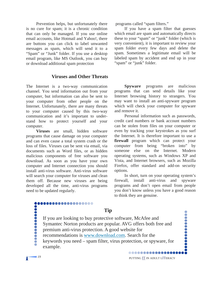Prevention helps, but unfortunately there is no cure for spam; it is a chronic condition that can only be managed. If you use online email accounts, like Hotmail and Yahoo!, there are buttons you can click to label unwanted messages as spam, which will send it to a "Spam" or "Junk" folder. If you use a desktop email program, like MS Outlook, you can buy or download additional spam protection

#### **Viruses and Other Threats**

The Internet is a two-way communication channel. You send information out from your computer, but information can also be sent to your computer from other people on the Internet. Unfortunately, there are many threats to your computer caused by this two-way communication and it's important to understand how to protect yourself and your computer.

**Viruses** are small, hidden software programs that cause damage on your computer and can even cause a total system crash or the loss of files. Viruses can be sent via email, via documents such as Word files, or as hidden malicious components of free software you download. As soon as you have your own computer and Internet connection you should install anti-virus software. Anti-virus software will search your computer for viruses and clean them off. Because new viruses are being developed all the time, anti-virus programs need to be updated regularly.

,,,,,,,,,,,,,,,

programs called "spam filters."

If you have a spam filter that guesses which email are spam and automatically directs these to your "spam" or "junk" folder (which is very convenient), it is important to review your spam folder every few days and delete the spam. Sometimes a legitimate email will be labeled spam by accident and end up in your "spam" or "junk" folder.

 **Spyware** programs are malicious programs that can send details like your Internet browsing history to strangers. You may want to install an anti-spyware program which will check your computer for spyware and remove it.

Personal information such as passwords, credit card numbers or bank account numbers can be stolen from files on your computer or even by tracking your keystrokes as you surf the Internet. It is therefore important to use a **firewall** program which can protect your computer from being "broken into" by someone else on the Internet. Modern operating systems, such as Windows XP and Vista, and Internet browsers, such as Mozilla Firefox, offer standard and add-on security options.

In short, turn on your operating system's firewall, install anti-virus and spyware programs and don't open email from people you don't know unless you have a good reason to think they are genuine.

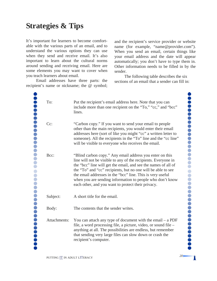# **Strategies & Tips**

It's important for learners to become comfortable with the various parts of an email, and to understand the various options they can use when they send and receive email. It's also important to learn about the cultural norms around sending and receiving email. Here are some elements you may want to cover when you teach learners about email.

Email addresses have three parts: the recipient's name or nickname; the @ symbol;

and the recipient's service provider or website name (for example, "[name@provider.com"\).](mailto:name@provider.com%E2%80%9D%00%00)  When you send an email, certain things like your email address and the date will appear automatically; you don't have to type them in. Other information needs to be filled in by the sender.

The following table describes the six sections of an email that a sender can fill in:

........

 $\ddot{\bullet}$  $\bullet$  $\bullet$  $\bullet$  $\bigcirc$  $\bullet$  $\bullet$  $\bullet$ 

...........

Ť

| To:          | Put the recipient's email address here. Note that you can<br>include more than one recipient on the "To," "cc," and "bcc"<br>lines.                                                                                                                                                                                                                                                                                                           |
|--------------|-----------------------------------------------------------------------------------------------------------------------------------------------------------------------------------------------------------------------------------------------------------------------------------------------------------------------------------------------------------------------------------------------------------------------------------------------|
| Cc:          | "Carbon copy." If you want to send your email to people<br>other than the main recipients, you would enter their email<br>addresses here (sort of like you might "cc" a written letter to<br>someone). All the recipients in the "To" line and the "cc line"<br>will be visible to everyone who receives the email.                                                                                                                           |
| Bcc:         | "Blind carbon copy." Any email address you enter on this<br>line will not be visible to any of the recipients. Everyone in<br>the "bcc" line will get the email, and see the names of all of<br>the "To" and "cc" recipients, but no one will be able to see<br>the email addresses in the "bcc" line. This is very useful<br>when you are sending information to people who don't know<br>each other, and you want to protect their privacy. |
| Subject:     | A short title for the email.                                                                                                                                                                                                                                                                                                                                                                                                                  |
| Body:        | The contents that the sender writes.                                                                                                                                                                                                                                                                                                                                                                                                          |
| Attachments: | You can attach any type of document with the email $- a PDF$<br>file, a word processing file, a picture, video, or sound file –<br>anything at all. The possibilities are endless, but remember<br>that sending very large files can slow down or crash the<br>recipient's computer.                                                                                                                                                          |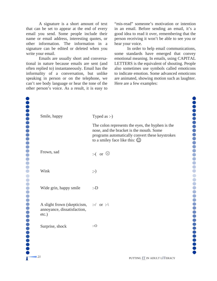A signature is a short amount of text that can be set to appear at the end of every email you send. Some people include their name or email address, interesting quotes, or other information. The information in a signature can be edited or deleted when you write your email.

Emails are usually short and conversational in nature because emails are sent (and often replied to) instantaneously. Email has the informality of a conversation, but unlike speaking in person or on the telephone, we can't see body language or hear the tone of the other person's voice. As a result, it is easy to

"mis-read" someone's motivation or intention in an email. Before sending an email, it's a good idea to read it over, remembering that the person receiving it won't be able to see you or hear your voice.

In order to help email communications, some standards have emerged that convey emotional meaning. In emails, using CAPITAL LETTERS is the equivalent of shouting. People also sometimes use symbols called emoticons to indicate emotion. Some advanced emoticons are animated, showing motion such as laughter. Here are a few examples:

,,,,,,,,,,,,,,,,  $\bullet$  $\bigodot$  $\bigcirc$  $\bullet$ .............

| Smile, happy                                                                                       | Typed as :-)                                                                                                                                                                           |
|----------------------------------------------------------------------------------------------------|----------------------------------------------------------------------------------------------------------------------------------------------------------------------------------------|
|                                                                                                    | The colon represents the eyes, the hyphen is the<br>nose, and the bracket is the mouth. Some<br>programs automatically convert these keystrokes<br>to a smiley face like this: $\odot$ |
| Frown, sad                                                                                         | $: (or \; \odot)$                                                                                                                                                                      |
| Wink                                                                                               | $; - )$                                                                                                                                                                                |
| Wide grin, happy smile                                                                             | : D                                                                                                                                                                                    |
| A slight frown (skepticism, $:\dot{\ }$ or :- $\langle$<br>annoyance, dissatisfaction,<br>$etc.$ ) |                                                                                                                                                                                        |
| Surprise, shock                                                                                    | $:$ O                                                                                                                                                                                  |
|                                                                                                    |                                                                                                                                                                                        |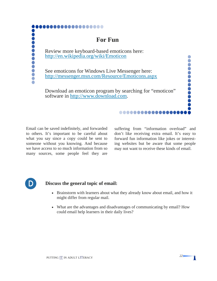

# **For Fun**

Review more keyboard-based emoticons here: <http://en.wikipedia.org/wiki/Emoticon>

See emoticons for Windows Live Messenger here: <http://messenger.msn.com/Resource/Emoticons.aspx>

Download an emoticon program by searching for "emoticon" software in [http://www.download.com.](http://www.download.com)

Email can be saved indefinitely, and forwarded to others. It's important to be careful about what you say since a copy could be sent to someone without you knowing. And because we have access to so much information from so many sources, some people feel they are

suffering from "information overload" and don't like receiving extra email. It's easy to forward fun information like jokes or interesting websites but be aware that some people may not want to receive these kinds of email.

..............

 $\bullet$  $\bullet$ Č Ŏ Ŏ

**OOO** 

Π



**...........** 

#### **D** Discuss the general topic of email:

- Brainstorm with learners about what they already know about email, and how it might differ from regular mail.
- What are the advantages and disadvantages of communicating by email? How could email help learners in their daily lives?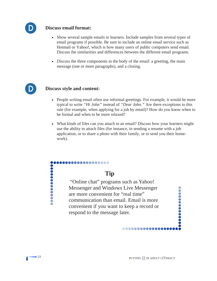

#### **Discuss email format:**

- Show several sample emails to learners. Include samples from several types of email programs if possible. Be sure to include an online email service such as Hotmail or Yahoo!, which is how many users of public computers send email. Discuss the similarities and differences between the different email programs.
- Discuss the three components in the body of the email: a greeting, the main message (one or more paragraphs), and a closing.



#### **Discuss style and content:**

- People writing email often use informal greetings. For example, it would be more typical to write *"Hi John"* instead of *"Dear John."* Are there exceptions to this rule (for example, when applying for a job by email)? How do you know when to be formal and when to be more relaxed?
- What kinds of files can you attach to an email? Discuss how your learners might use the ability to attach files (for instance, in sending a resume with a job application, or to share a photo with their family, or to send you their homework).

# **Tip**

,,,,,,,,,,,,,,

 "Online chat" programs such as Yahoo! Messenger and Windows Live Messenger are more convenient for "real time" communication than email. Email is more convenient if you want to keep a record or respond to the message later.

..............

...........



,,,,,,,,,,,,,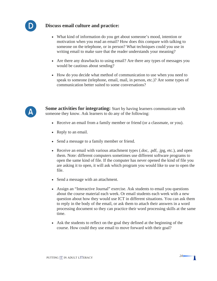

#### **Discuss email culture and practice:**

- What kind of information do you get about someone's mood, intention or motivation when you read an email? How does this compare with talking to someone on the telephone, or in person? What techniques could you use in writing email to make sure that the reader understands your meaning?
- Are there any drawbacks to using email? Are there any types of messages you would be cautious about sending?
- How do you decide what method of communication to use when you need to speak to someone (telephone, email, mail, in person, etc.)? Are some types of communication better suited to some conversations?



**Some activities for integrating:** Start by having learners communicate with someone they know. Ask learners to do any of the following:

- Receive an email from a family member or friend (or a classmate, or you).
- Reply to an email.
- Send a message to a family member or friend.
- Receive an email with various attachment types (.doc, .pdf, .jpg, etc.), and open them. Note: different computers sometimes use different software programs to open the same kind of file. If the computer has never opened the kind of file you are asking it to open, it will ask which program you would like to use to open the file.
- Send a message with an attachment.
- Assign an "Interactive Journal" exercise. Ask students to email you questions about the course material each week. Or email students each week with a new question about how they would use ICT in different situations. You can ask them to reply in the body of the email, or ask them to attach their answers in a word processing document so they can practice their word processing skills at the same time.

Π

• Ask the students to reflect on the goal they defined at the beginning of the course. How could they use email to move forward with their goal?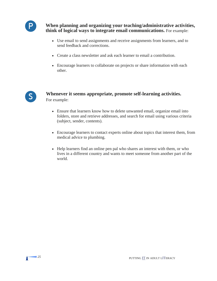

**When planning and organizing your teaching/administrative activities, think of logical ways to integrate email communications.** For example:

- Use email to send assignments and receive assignments from learners, and to send feedback and corrections.
- Create a class newsletter and ask each learner to email a contribution.
- Encourage learners to collaborate on projects or share information with each other.



#### **Whenever it seems appropriate, promote self-learning activities.**  For example:

- Ensure that learners know how to delete unwanted email, organize email into folders, store and retrieve addresses, and search for email using various criteria (subject, sender, contents).
- Encourage learners to contact experts online about topics that interest them, from medical advice to plumbing.
- Help learners find an online pen pal who shares an interest with them, or who lives in a different country and wants to meet someone from another part of the world.

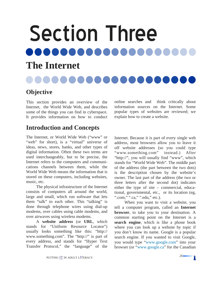# <span id="page-29-0"></span>Section Three ...... 8 8 8 6 **The Internet**

# **Objective**

This section provides an overview of the Internet, the World Wide Web, and describes some of the things you can find in cyberspace. It provides information on how to conduct

# **Introduction and Concepts**

The Internet, or World Wide Web ("www" or "web" for short), is a "virtual" universe of ideas, news, stores, banks, and other types of digital information. Often these two terms are used interchangeably, but to be precise, the Internet refers to the computers and communications channels between them, while the World Wide Web means the information that is stored on these computers, including websites, music, etc.

The physical infrastructure of the Internet consists of computers all around the world, large and small, which run software that lets them "talk" to each other. This "talking" is done through telephone wires using dial-up modems, over cables using cable modems, and over airwaves using wireless modems.

A **website address** (or **URL**, which stands for "Uniform Resource Locator") usually looks something like this: "http:// www.something.com". The "http://" is part of every address, and stands for "Hyper Text Transfer Protocol," the "language" of the

online searches and think critically about information sources on the Internet. Some popular types of websites are reviewed; we explain how to create a website.

Internet. Because it is part of every single web address, most browsers allow you to leave it off website addresses (so you could type "www.something.com" instead.) After "http://", you will usually find "www", which stands for "World Wide Web". The middle part of the address (the part between the two dots) is the description chosen by the website's owner. The last part of the address (the two or three letters after the second dot) indicates either the type of site – commercial, educational, governmental, etc., or its location (eg, ".com," ".ca," ".edu," etc.).

When you want to visit a website, you tell a computer program, called an **Internet browser**, to take you to your destination. A common starting point on the Internet is a **search engine**, which is like a phone book where you can look up a website by topic if you don't know its name. Google is a popular search engine. If you wanted to visit Google, you would type ["www.google.com"](http://www.google.com) into your browser (or "[www.google.ca"](http://www.google.ca) for the Canadian

n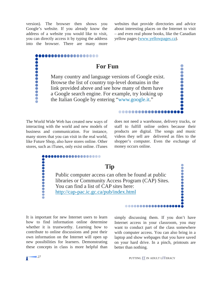version). The browser then shows you Google's website. If you already know the address of a website you would like to visit, you can directly access it by typing the address into the browser. There are many more

,,,,,,,,,,,

 $\bullet$ 

**...........** 

Baaaaaaaaaaaaaa

websites that provide directories and advice about interesting places on the Internet to visit – and even real phone books, like the Canadian yellow pages [\(www.yellowpages.ca\)](http://www.yellowpages.ca).

Ŏ

.........

#### **For Fun**

Many country and language versions of Google exist. Browse the list of country top-level domains in the link provided above and see how many of them have a Google search engine. For example, try looking up the Italian Google by entering "[www.google.it.](http://www.google.it)"

**Tip** 

Public computer access can often be found at public libraries or Community Access Program (CAP) Sites.

You can find a list of CAP sites here:

The World Wide Web has created new ways of interacting with the world and new models of business and communication. For instance, many stores that you can visit in the real world, like Future Shop, also have stores online. Other stores, such as iTunes, only exist online. iTunes

Web has created new ways of does not need a warehouse, delivery trucks, or<br>the world and new models of staff to fulfill online orders because their<br>ommunication. For instance, products are digital. The songs and music<br>you staff to fulfill online orders because their products are digital. The songs and music videos they sell are delivered as files to the shopper's computer. Even the exchange of money occurs online.

<u>.............</u>

It is important for new Internet users to learn how to find information online determine whether it is trustworthy. Learning how to contribute to online discussions and post their own information on the Internet will open up new possibilities for learners. Demonstrating these concepts in class is more helpful than

simply discussing them. If you don't have Internet access in your classroom, you may want to conduct part of the class somewhere with computer access. You can also bring in a laptop and show webpages that you have saved on your hard drive. In a pinch, printouts are better than nothing.

..............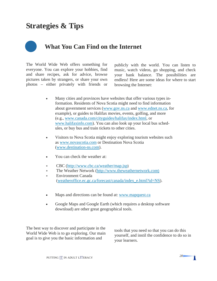# **Strategies & Tips**



The World Wide Web offers something for everyone. You can explore your hobbies, find and share recipes, ask for advice, browse pictures taken by strangers, or share your own photos – either privately with friends or

publicly with the world. You can listen to music, watch videos, go shopping, and check your bank balance. The possibilities are endless! Here are some ideas for where to start browsing the Internet:

- Many cities and provinces have websites that offer various types information. Residents of Nova Scotia might need to find information about government services [\(www.gov.ns.ca](http://www.gov.ns.ca) and [www.ednet.ns.ca,](http://www.ednet.ns.ca) for example), or guides to Halifax movies, events, golfing, and more (e.g., [www.canada.com/cityguides/halifax/index.html,](http://www.canada.com/cityguides/halifax/index.html) or [www.halifaxinfo.com\)](http://www.halifaxinfo.com). You can also look up your local bus schedules, or buy bus and train tickets to other cities.
- Visitors to Nova Scotia might enjoy exploring tourism websites such as [www.novascotia.com](http://www.novascotia.com) or Destination Nova Scotia ([www.destination-ns.com](http://www.destination-ns.com)).
- You can check the weather at:
- ∗ CBC (<http://www.cbc.ca/weather/map.jsp>)
- ∗ The Weather Network [\(http://www.theweathernetwork.com](http://www.theweathernetwork.com))
- ∗ Environment Canada [\(weatheroffice.ec.gc.ca/forecast/canada/index\\_e.html?id=NS\)](http://www.weatheroffice.gc.ca/forecast/canada/index_e.html?id=NS).
- Maps and directions can be found at: www.mapquest.ca
- Google Maps and Google Earth (which requires a desktop software download) are other great geographical tools.

The best way to discover and participate in the World Wide Web is to go exploring. Our main goal is to give you the basic information and

tools that you need so that you can do this yourself, and instil the confidence to do so in your learners.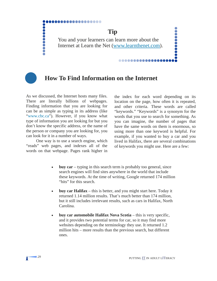............. **Tip**  ....... You and your learners can learn more about the Internet at Learn the Net ([www.learnthenet.com\).](http://www.learnthenet.com) 

# **How To Find Information on the Internet**

As we discussed, the Internet hosts many files. There are literally billions of webpages. Finding information that you are looking for can be as simple as typing in its address (like ["www.cbc.ca"](http://www.cbc.ca)). However, if you know what type of information you are looking for but you don't know the specific address, or the name of the person or company you are looking for, you can look for it in a number of ways.

**...........** 

One way is to use a search engine, which "reads" web pages, and indexes all of the words on that webpage. Pages rank higher in

the index for each word depending on its location on the page, how often it is repeated, and other criteria. These words are called "keywords." "Keywords" is a synonym for the words that you use to search for something. As you can imagine, the number of pages that have the same words on them is enormous, so using more than one keyword is helpful. For example, if you wanted to buy a car and you lived in Halifax, there are several combinations of keywords you might use. Here are a few:

...............

- **buy car** typing in this search term is probably too general, since search engines will find sites anywhere in the world that include these keywords. At the time of writing, Google returned 174 million "hits" for this search.
- **buy car Halifax** this is better, and you might start here. Today it returned 1.14 million results. That's much better than 174 million, but it still includes irrelevant results, such as cars in Halifax, North Carolina.
- **buy car automobile Halifax Nova Scotia** this is very specific, and it provides two potential terms for car, so it may find more websites depending on the terminology they use. It returned 1.2 million hits – more results than the previous search, but different ones.

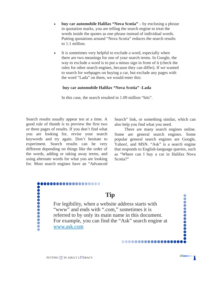- **buy car automobile Halifax "Nova Scotia"** by enclosing a phrase in quotation marks, you are telling the search engine to treat the words inside the quotes as one phrase instead of individual words. Putting quotations around "Nova Scotia" reduces the search results to 1.1 million.
- It is sometimes very helpful to exclude a word, especially when there are two meanings for one of your search terms. In Google, the way to exclude a word is to put a minus sign in front of it (check the rules for other search engines, because they can differ). If we wanted to search for webpages on buying a car, but exclude any pages with the word "Lada" on them, we would enter this:

#### **buy car automobile Halifax "Nova Scotia" -Lada**

In this case, the search resulted in 1.09 million "hits".

Search results usually appear ten at a time. A good rule of thumb is to preview the first two or three pages of results. If you don't find what you are looking for, revise your search keywords and try again. Don't hesitate to experiment. Search results can be very different depending on things like the order of the words, adding or taking away terms, and using alternate words for what you are looking for. Most search engines have an "Advanced Search" link, or something similar, which can also help you find what you need.

There are many search engines online. Some are general search engines. Some popular general search engines are Google, Yahoo!, and MSN. "Ask" is a search engine that responds to English-language queries, such as "Where can I buy a car in Halifax Nova Scotia?"

.............

..........

Π

#### ..............

### **Tip**

 [www.ask.com](http://www.ask.com) For legibility, when a website address starts with "www" and ends with ".com," sometimes it is referred to by only its main name in this document. For example, you can find the "Ask" search engine at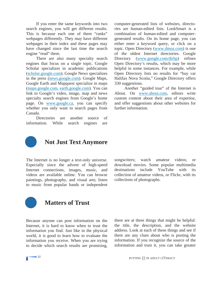If you enter the same keywords into two search engines, you will get different results. This is because each one of them "ranks" webpages differently. They may have different webpages in their index and these pages may have changed since the last time the search engine "read" them.

There are also many specialty search engines that focus on a single topic. Google Scholar specializes in academic publications [\(scholar.google.com\)](http://scholar.google.com); Google News specializes in the press [\(news.google.com\)](http://news.google.com). Google Maps, Google Earth and Mapquest specialize in maps [\(maps.google.com,](http://maps.google.com) [earth.google.com\)](http://earth.google.com). You can link to Google's video, image, map and news specialty search engines from Google's home page. On [www.google.ca,](http://www.google.ca) you can specify whether you only want to search pages from Canada.

Directories are another source of information. While search engines are

computer-generated lists of websites, directories are human-edited lists. LookSmart is a combination of human-edited and computergenerated results. On its home page, you can either enter a keyword query, or click on a topic. Open Directory ([www.dmoz.com\)](http://www.dmoz.com) is one of the oldest Internet directories. Google Directory [\(www.google.com/dirhp\)](http://www.google.com/dirhp) refines Open Directory's results, which may be more helpful in some instances. For example, while Open Directory lists no results for "buy car Halifax Nova Scotia," Google Directory offers 330 suggestions.

Another "guided tour" of the Internet is About. On [www.about.com,](http://www.about.com) editors write custom content about their area of expertise, and offer suggestions about other websites for further information.



# **Not Just Text Anymore**

The Internet is no longer a text-only universe. Especially since the advent of high-speed Internet connections, images, music, and videos are available online. You can browse paintings, photography, and visual arts; listen to music from popular bands or independent songwriters; watch amateur videos; or download movies. Some popular multimedia destinations include YouTube with collection of amateur videos, or Flickr, with its collections of photographs.



#### **Matters of Trust**

Because anyone can post information on the Internet, it is hard to know when to trust the information you find. Just like in the physical world, it is good to learn how to evaluate the information you receive. When you are trying to decide which search results are promising, there are at three things that might be helpful: the title, the description, and the website address. Look at each of these things and see if there are any clues about who is posting the information. If you recognize the source of the information and trust it, you can take greater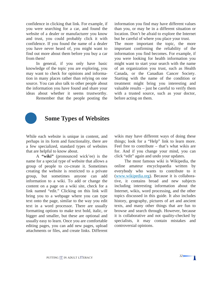confidence in clicking that link. For example, if you were searching for a car, and found the website of a dealer or manufacturer you know and trust, you could probably click it with confidence. If you found the name of a dealer you have never heard of, you might want to find out more about them before you buy a car from them!

In general, if you only have basic knowledge of the topic you are exploring, you may want to check for opinions and information in many places rather than relying on one source. You can also talk to other people about the information you have found and share your ideas about whether it seems trustworthy.

Remember that the people posting the

information you find may have different values than you, or may be in a different situation or location. Don't be afraid to explore the Internet but be careful of where you place your trust.

The more important the topic, the more important confirming the reliability of the information you find becomes. For example, if you were looking for health information you might want to start your search with the name of an organization you trust, such as Health Canada, or the Canadian Cancer Society. Starting with the name of the condition or treatment might bring you interesting and valuable results – just be careful to verify them with a trusted source, such as your doctor, before acting on them.



# **Some Types of Websites**

While each website is unique in content, and perhaps in its form and functionality, there are a few specialized, standard types of websites that are helpful to know about.

A **"wiki"** (pronounced wick'ee) is the name for a special type of website that allows a group of people to co-create it. Sometimes creating the website is restricted to a private group, but sometimes anyone can add information to a wiki. To add or change the content on a page on a wiki site, check for a link named "edit." Clicking on this link will bring you to a webpage where you can type text onto the page, similar to the way you edit text in a word processor. There are usually formatting options to make text bold, italic, or bigger and smaller, but these are optional and usually easy to learn. Once you are comfortable editing pages, you can add new pages, upload attachments or files, and create links. Different

wikis may have different ways of doing these things; look for a "Help" link to learn more. Feel free to contribute – that's what wikis are for. And if you change your mind, you can click "edit" again and undo your updates.

The most famous wiki is Wikipedia, the online amateur encyclopaedia written by everybody who wants to contribute to it [\(www.wikipedia.org\)](http://www.wikipedia.org). Because it is collaborative, it contains broad and new subjects including interesting information about the Internet, wikis, word processing, and the other topics discussed in this guide. It also includes history, geography, pictures of art and ancient texts, and many other things that are fun to browse and search through. However, because it is collaborative and not quality-checked by specialists, it may contain mistakes and controversial opinions.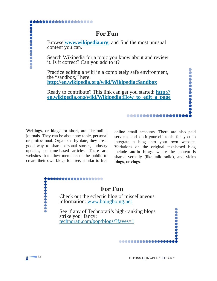## **For Fun**

Browse **[www.wikipedia.org](http://www.wikipedia.org)**, and find the most unusual content you can.

Search Wikipedia for a topic you know about and review it. Is it correct? Can you add to it?

Practice editing a wiki in a completely safe environment, the "sandbox," here: **<http://en.wikipedia.org/wiki/Wikipedia:Sandbox>**

 **[en.wikipedia.org/wiki/Wikipedia:How\\_to\\_edit\\_a\\_page](http://en.wikipedia.org/wiki/Wikipedia:How_to_edit_a_page) Weblogs,** or **blogs** for short, are like online Ready to contribute? This link can get you started: **[http://](http://en.wikipedia.org/wiki/Wikipedia:How_to_edit_a_page)**

journals. They can be about any topic, personal or professional. Organized by date, they are a good way to share personal stories, industry updates, or time-based articles. There are websites that allow members of the public to create their own blogs for free, similar to free

...............

**...........** 

online email accounts. There are also paid services and do-it-yourself tools for you to integrate a blog into your own website. Variations on the original text-based blog include **audio blogs**, where the content is shared verbally (like talk radio), and **video blogs**, or **vlogs**.

............

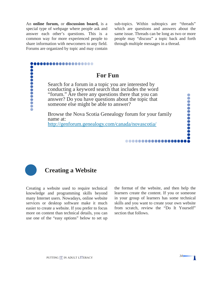An **online forum,** or **discussion board,** is a sub-topics. Within subtopics are "threads" special type of webpage where people ask and answer each other's questions. This is a common way for more experienced people to share information with newcomers to any field. Forums are organized by topic and may contain

...............

which are questions and answers about the same issue. Threads can be long as two or more people may "discuss" a topic back and forth through multiple messages in a thread.

...........

Π

## **For Fun**

Search for a forum in a topic you are interested by conducting a keyword search that includes the word "forum." Are there any questions there that you can answer? Do you have questions about the topic that someone else might be able to answer?

Browse the Nova Scotia Genealogy forum for your family name at: <http://genforum.genealogy.com/canada/novascotia/>



...........

 $\bullet$ 

## **Creating a Website**

Creating a website used to require technical the format of the website, and then help the knowledge and programming skills beyond many Internet users. Nowadays, online website services or desktop software make it much easier to create a website. If you prefer to focus more on content than technical details, you can use one of the "easy options" below to set up

learners create the content. If you or someone in your group of learners has some technical skills and you want to create your own website from scratch, review the "Do It Yourself" section that follows.

..............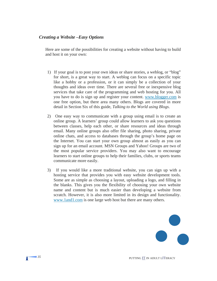#### *Creating a Website –Easy Options*

Here are some of the possibilities for creating a website without having to build and host it on your own:

- 1) If your goal is to post your own ideas or share stories, a weblog, or "blog" for short, is a great way to start. A weblog can focus on a specific topic like a hobby or a profession, or it can simply be a collection of your thoughts and ideas over time. There are several free or inexpensive blog services that take care of the programming and web hosting for you. All you have to do is sign up and register your content. [www.blogger.com](http://www.blogger.com) is one free option, but there area many others. Blogs are covered in more detail in Section Six of this guide, *Talking to the World using Blogs*.
- 2) One easy way to communicate with a group using email is to create an online group. A learners' group could allow learners to ask you questions between classes, help each other, or share resources and ideas through email. Many online groups also offer file sharing, photo sharing, private online chats, and access to databases through the group's home page on the Internet. You can start your own group almost as easily as you can sign up for an email account. MSN Groups and Yahoo! Groups are two of the most popular service providers. You may also want to encourage learners to start online groups to help their families, clubs, or sports teams communicate more easily.
- 3) If you would like a more traditional website, you can sign up with a hosting service that provides you with easy website development tools. Some are as simple as choosing a layout, uploading a logo, and filling in the blanks. This gives you the flexibility of choosing your own website name and content but is much easier than developing a website from scratch. However, it is also more limited in its design and functionality. [www.1and1.com](http://www.1and1.com) is one large web host but there are many others.

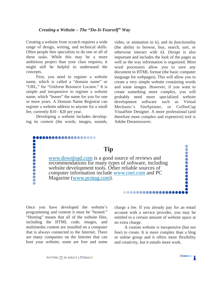Creating a website from scratch requires a wide range of design, writing, and technical skills. Often people hire specialists to do one or all of these tasks. While this may be a more ambitious project than your class requires, it might still be helpful to understand the concepts.

First, you need to register a website name, which is called a "domain name" or "URL," for "Uniform Resource Locator." It is simple and inexpensive to register a website name, which "leases" the name for you for one or more years. A Domain Name Registrar can register a website address to anyone for a small fee, currently \$10 - \$20 per year.

Developing a website includes developing its *content* (the words, images, sounds,

...............

video, or animation in it), and its *functionality*  (the ability to browse, buy, search, sort, or otherwise interact with it). *Design* is also important and includes the look of the pages as well as the way information is organized. Most word processors allow you to save any document in HTML format (the basic computer language for webpages). This will allow you to create a very simple website containing words and some images. However, if you want to create something more complex, you will probably need more specialized website development software such as Virtual Mechanic's SiteSpinner, or CoffeeCup VisualSite Designer. A more professional (and therefore more complex and expensive) tool is Adobe Dreamweaver.

**........... Tip**  [www.download.com](http://www.download.com) is a good source of reviews and recommendations for many types of software, including website development tools. Other reliable sources of computer information include [www.cnet.com](http://www.cnet.com) and PC Magazine [\(www.pcmag.com\)](http://www.pcmag.com).  $\bullet$ 

Once you have developed the website's programming and content it must be "hosted." "Hosting" means that all of the website files, including the HTML code, images, and multimedia content are installed on a computer that is always connected to the Internet. There are many companies on the Internet that can host your website; some are free and some

charge a fee. If you already pay for an email account with a service provider, you may be entitled to a certain amount of website space at no extra charge.

................

A custom website is inexpensive (but not free) to create. It is more complex than a blog or online group and it offers more flexibility and creativity, but it entails more work.

 $\bullet$ 

........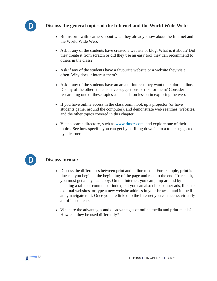

## **Discuss the general topics of the Internet and the World Wide Web:**

- Brainstorm with learners about what they already know about the Internet and the World Wide Web.
- Ask if any of the students have created a website or blog. What is it about? Did they create it from scratch or did they use an easy tool they can recommend to others in the class?
- Ask if any of the students have a favourite website or a website they visit often. Why does it interest them?
- Ask if any of the students have an area of interest they want to explore online. Do any of the other students have suggestions or tips for them? Consider researching one of these topics as a hands-on lesson in exploring the web.
- If you have online access in the classroom, hook up a projector (or have students gather around the computer), and demonstrate web searches, websites, and the other topics covered in this chapter.
- Visit a search directory, such as [www.dmoz.com,](http://www.dmoz.com) and explore one of their topics. See how specific you can get by "drilling down" into a topic suggested by a learner.



## **Discuss format:**

- Discuss the differences between print and online media. For example, print is linear - you begin at the beginning of the page and read to the end. To read it, you must get a physical copy. On the Internet, you can jump around by clicking a table of contents or index, but you can also click banner ads, links to external websites, or type a new website address in your browser and immediately navigate to it. Once you are linked to the Internet you can access virtually all of its contents.
- What are the advantages and disadvantages of online media and print media? How can they be used differently?

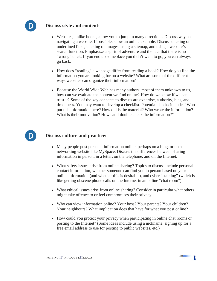

#### **Discuss style and content:**

- Websites, unlike books, allow you to jump in many directions. Discuss ways of navigating a website. If possible, show an online example. Discuss clicking on underlined links, clicking on images, using a sitemap, and using a website's search function. Emphasize a spirit of adventure and the fact that there is no "wrong" click. If you end up someplace you didn't want to go, you can always go back.
- How does "reading" a webpage differ from reading a book? How do you find the information you are looking for on a website? What are some of the different ways websites can organize their information?
- Because the World Wide Web has many authors, most of them unknown to us, how can we evaluate the content we find online? How do we know if we can trust it? Some of the key concepts to discuss are expertise, authority, bias, and timeliness. You may want to develop a checklist. Potential checks include, "Who put this information here? How old is the material? Who wrote the information? What is their motivation? How can I double check the information?"



#### **D** Discuss culture and practice:

- Many people post personal information online, perhaps on a blog, or on a networking website like MySpace. Discuss the differences between sharing information in person, in a letter, on the telephone, and on the Internet.
- What safety issues arise from online sharing? Topics to discuss include personal contact information, whether someone can find you in person based on your online information (and whether this is desirable), and cyber "stalking" (which is like getting obscene phone calls on the Internet in an online "chat room").
- What ethical issues arise from online sharing? Consider in particular what others might take offence to or feel compromises their privacy.
- Who can view information online? Your boss? Your parents? Your children? Your neighbours? What implication does that have for what you post online?
- How could you protect your privacy when participating in online chat rooms or posting to the Internet? (Some ideas include using a nickname, signing up for a free email address to use for posting to public websites, etc.)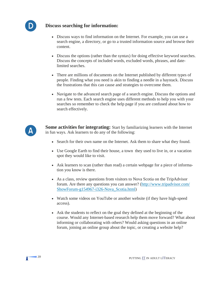

#### **Discuss searching for information:**

- Discuss ways to find information on the Internet. For example, you can use a search engine, a directory, or go to a trusted information source and browse their content.
- Discuss the options (rather than the syntax) for doing effective keyword searches. Discuss the concepts of included words, excluded words, phrases, and datelimited searches.
- There are millions of documents on the Internet published by different types of people. Finding what you need is akin to finding a needle in a haystack. Discuss the frustrations that this can cause and strategies to overcome them.
- Navigate to the advanced search page of a search engine. Discuss the options and run a few tests. Each search engine uses different methods to help you with your searches so remember to check the help page if you are confused about how to search effectively.



**Some activities for integrating:** Start by familiarizing learners with the Internet in fun ways. Ask learners to do any of the following:

- Search for their own name on the Internet. Ask them to share what they found.
- Use Google Earth to find their house, a town they used to live in, or a vacation spot they would like to visit.
- Ask learners to scan (rather than read) a certain webpage for a piece of information you know is there.
- As a class, review questions from visitors to Nova Scotia on the TripAdvisor forum. Are there any questions you can answer? [\(http://www.tripadvisor.com/](http://www.tripadvisor.com/ShowForum-g154967-i326-Nova_Scotia.html)  [ShowForum-g154967-i326-Nova\\_Scotia.html\)](http://www.tripadvisor.com/ShowForum-g154967-i326-Nova_Scotia.html)
- Watch some videos on YouTube or another website (if they have high-speed access).
- Ask the students to reflect on the goal they defined at the beginning of the course. Would any Internet-based research help them move forward? What about informing or collaborating with others? Would asking questions in an online forum, joining an online group about the topic, or creating a website help?

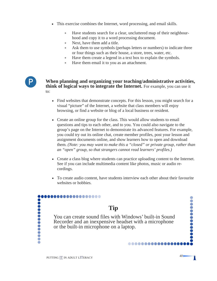- This exercise combines the Internet, word processing, and email skills.
	- ∗ Have students search for a clear, uncluttered map of their neighbourhood and copy it to a word processing document.
	- Next, have them add a title.
	- Ask them to use symbols (perhaps letters or numbers) to indicate three or four things such as their house, a store, trees, water, etc.
	- Have them create a legend in a text box to explain the symbols.
	- Have them email it to you as an attachment.



**When planning and organizing your teaching/administrative activities, think of logical ways to integrate the Internet.** For example, you can use it to:

- Find websites that demonstrate concepts. For this lesson, you might search for a visual "picture" of the Internet, a website that class members will enjoy browsing, or find a website or blog of a local business or resident.
- Create an online group for the class. This would allow students to email questions and tips to each other, and to you. You could also navigate to the group's page on the Internet to demonstrate its advanced features. For example, you could try out its online chat, create member profiles, post your lesson and assignment documents online, and show learners how to open and download them. *(Note: you may want to make this a "closed" or private group, rather than an "open" group, so that strangers cannot read learners' profiles.)*
- Create a class blog where students can practice uploading content to the Internet. See if you can include multimedia content like photos, music or audio recordings.
- To create audio content, have students interview each other about their favourite websites or hobbies.

................

 $\bullet$ 

..........

T

## **Tip**

You can create sound files with Windows' built-in Sound Recorder and an inexpensive headset with a microphone or the built-in microphone on a laptop.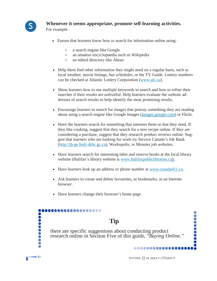

## **S Whenever it seems appropriate, promote self-learning activities.**

For example:

- Ensure that learners know how to search for information online using:
	- ∗ a search engine like Google
	- ∗ an amateur encyclopaedia such as Wikipedia
	- an edited directory like About
- Help them find other information they might need on a regular basis, such as local weather, movie listings, bus schedules, or the TV Guide. Lottery numbers can be checked at Atlantic Lottery Corporation [\(www.alc.ca\)](http://www.alc.ca).
- Show learners how to use multiple keywords to search and how to refine their searches if their results are unfruitful. Help learners evaluate the website addresses of search results to help identify the most promising results.
- Encourage learners to search for images that portray something they are reading about using a search engine like Google Images [\(images.google.com\)](http://images.google.com) or Flickr.
- Have the learners search for something that interests them or that they need. If they like cooking, suggest that they search for a new recipe online. If they are considering a purchase, suggest that they research product reviews online. Suggest that learners who are looking for work try Service Canada's Job Bank ([http://jb-ge.hrdc-drhc.gc.ca\)](http://jb-ge.hrdc-drhc.gc.ca), Workopolis, or Monster job websites.
- Have learners search for interesting titles and reserve books at the local library website (Halifax's library website is [www.halifaxpubliclibraries.ca\)](http://www.halifaxpubliclibraries.ca).
- Have learners look up an address or phone number at [www.canada411.ca](http://www.canada411.ca).
- Ask learners to create and delete favourites, or bookmarks, in an Internet browser.
- Have learners change their browser's home page.

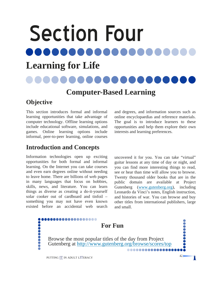## Section Four 10000

## **Learning for Life**

## **Computer-Based Learning**

## **Objective**

This section introduces formal and informal learning opportunities that take advantage of computer technology. Offline learning options include educational software, simulations, and games. Online learning options include informal, peer-to-peer learning, online courses

## **Introduction and Concepts**

Information technologies open up exciting opportunities for both formal and informal learning. On the Internet you can take courses and even earn degrees online without needing to leave home. There are billions of web pages in many languages that focus on hobbies, skills, news, and literature. You can learn things as diverse as creating a do-it-yourself solar cooker out of cardboard and tinfoil – something you may not have even known existed before an accidental web search and degrees, and information sources such as online encyclopaedias and reference materials. The goal is to introduce learners to these opportunities and help them explore their own interests and learning preferences.

uncovered it for you. You can take "virtual" guitar lessons at any time of day or night, and you can find more interesting things to read, see or hear than time will allow you to browse. Twenty thousand older books that are in the public domain are available at Project Gutenberg ([www.gutenberg.org\),](http://www.gutenberg.org) including Leonardo da Vinci's notes, English instruction, and histories of war. You can browse and buy other titles from international publishers, large and small.

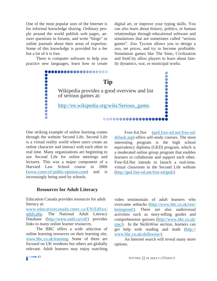One of the most popular uses of the Internet is for informal knowledge sharing. Ordinary people around the world publish web pages, answer questions in forums, and write "blogs" or online journals about their areas of expertise. Some of this knowledge is provided for a fee but a lot of it is free.

There is computer software to help you practice new languages, learn how to create digital art, or improve your typing skills. You can also learn about history, politics, or human relationships through educational software and simulations that are sometimes called "serious games". Zoo Tycoon allows you to design a zoo, set prices, and try to become profitable. Simulation games like The Sims, Civilization and SimCity allow players to learn about family dynamics, war, or municipal works.



One striking example of online learning comes through the website Second Life. Second Life is a virtual reality world where users create an online character and interact with each other in real time. Many organizations are beginning to use Second Life for online meetings and lectures. This was a major component of a Harvard Law School course in 2006 ([www.court-of-public-opinion.com\)](http://www.court-of-public-opinion.com) and is increasingly being used by schools.

Free-Ed.Net ([ged.free-ed.net/free-ed/](http://ged.free-ed.net/free-ed/default.asp)  [default.asp\)](http://ged.free-ed.net/free-ed/default.asp) offers self-study courses. The most interesting program is the high school equivalency diploma (GED) program, which is a moderated online group program that enables learners to collaborate and support each other. Free-Ed.Net intends to launch a real-time, virtual classroom in the Second Life website [\(http://ged.free-ed.net/free-ed/ged/](http://ged.free-ed.net/free-ed/ged/)*).* 

#### **Resources for Adult Literacy**

Education Canada provides resources for adult literacy at:

[www.educationcanada.cmec.ca/EN/EdSys/](http://www.educationcanada.cmec.ca/EN/EdSys/adult.php)  [adult.php.](http://www.educationcanada.cmec.ca/EN/EdSys/adult.php) The National Adult Literacy Database ([http://www.nald.ca/crd/\)](http://www.nald.ca/crd/) provides links to many online learner resources.

The BBC offers a wide selection of online learning resources on their learning site, [www.bbc.co.uk/learning.](http://www.bbc.co.uk/learning) Some of them are focused on UK residents but others are globally relevant. Adult learners may enjoy watching video testimonials of adult learners who overcame setbacks [\(http://www.bbc.co.uk/raw/](http://www.bbc.co.uk/raw/beinspired/)  [beinspired/\).](http://www.bbc.co.uk/raw/beinspired/) There are also audiovisual activities such as story-telling guides and comprehension quizzes ([http://www.bbc.co.uk/](http://www.bbc.co.uk/raw/)  [raw/\). I](http://www.bbc.co.uk/raw/)n the SkillsWise section, learners can get help with reading and math ([http://](http://www.bbc.co.uk/skillswise/)  [www.bbc.co.uk/skillswise/\).](http://www.bbc.co.uk/skillswise/) 

An Internet search will reveal many more options.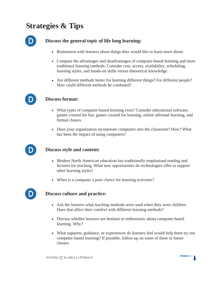## **Strategies & Tips**



### **Discuss the general topic of life long learning:**

- Brainstorm with learners about things they would like to learn more about.
- Compare the advantages and disadvantages of computer-based learning and more traditional learning methods. Consider cost, access, availability, scheduling, learning styles, and hands-on skills versus theoretical knowledge.
- Are different methods better for learning different things? For different people? How could different methods be combined?



#### **Discuss format:**

- What types of computer-based learning exist? Consider educational software, games created for fun, games created for learning, online informal learning, and formal classes.
- Does your organization incorporate computers into the classroom? How? What has been the impact of using computers?



#### **Discuss style and content:**

- Modern North American education has traditionally emphasized reading and lectures for teaching. What new opportunities do technologies offer to support other learning styles?
- When is a computer a poor choice for learning activities?



#### **Discuss culture and practice:**

- Ask the learners what teaching methods were used when they were children. Does that affect their comfort with different learning methods?
- Discuss whether learners are hesitant or enthusiastic about computer-based learning. Why?
- What supports, guidance, or experiences do learners feel would help them try out computer-based learning? If possible, follow up on some of these in future classes.

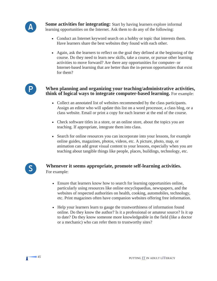

**Some activities for integrating:** Start by having learners explore informal learning opportunities on the Internet. Ask them to do any of the following:

- Conduct an Internet keyword search on a hobby or topic that interests them. Have learners share the best websites they found with each other.
- Again, ask the learners to reflect on the goal they defined at the beginning of the course. Do they need to learn new skills, take a course, or pursue other learning activities to move forward? Are there any opportunities for computer- or Internet-based learning that are better than the in-person opportunities that exist for them?



#### **When planning and organizing your teaching/administrative activities, think of logical ways to integrate computer-based learning.** For example:

- Collect an annotated list of websites recommended by the class participants. Assign an editor who will update this list on a word processor, a class blog, or a class website. Email or print a copy for each learner at the end of the course.
- Check software titles in a store, or an online store, about the topics you are teaching. If appropriate, integrate them into class.
- Search for online resources you can incorporate into your lessons, for example online guides, magazines, photos, videos, etc. A picture, photo, map, or animation can add great visual content to your lessons, especially when you are teaching about tangible things like people, places, buildings, technology, etc.



#### **Whenever it seems appropriate, promote self-learning activities.**  For example:

- Ensure that learners know how to search for learning opportunities online, particularly using resources like online encyclopaedias, newspapers, and the websites of respected authorities on health, cooking, automobiles, technology, etc. Print magazines often have companion websites offering free information.
- Help your learners learn to gauge the trustworthiness of information found online. Do they know the author? Is it a professional or amateur source? Is it up to date? Do they know someone more knowledgeable in the field (like a doctor or a mechanic) who can refer them to trustworthy sites?



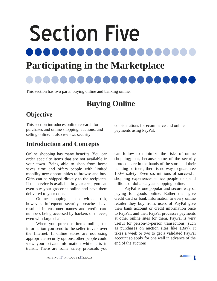Section Five .....

## **Participating in the Marketplace**

This section has two parts: buying online and banking online.

## **Buying Online**

## **Objective**

This section introduces online research for purchases and online shopping, auctions, and selling online. It also reviews security

considerations for ecommerce and online payments using PayPal.

## **Introduction and Concepts**

Online shopping has many benefits. You can order specialty items that are not available in your town. Being able to shop from home saves time and offers people with limited mobility new opportunities to browse and buy. Gifts can be shipped directly to the recipients. If the service is available in your area, you can even buy your groceries online and have them delivered to your door.

Online shopping is not without risk, however. Infrequent security breaches have resulted in customer names and credit card numbers being accessed by hackers or thieves, even with large chains.

When you purchase items online, the information you send to the seller travels over the Internet. If online stores are not using appropriate security options, other people could view your private information while it is in transit. There are some safety protocols you

can follow to minimize the risks of online shopping; but, because some of the security protocols are in the hands of the store and their banking partners, there is no way to guarantee 100% safety. Even so, millions of successful shopping experiences entice people to spend billions of dollars a year shopping online.

PayPal is one popular and secure way of paying for goods online. Rather than give credit card or bank information to every online retailer they buy from, users of PayPal give their bank account or credit information once to PayPal, and then PayPal processes payments at other online sites for them. PayPal is very useful for person-to-person transactions (such as purchases on auction sites like eBay). It takes a week or two to get a validated PayPal account so apply for one well in advance of the end of the auction!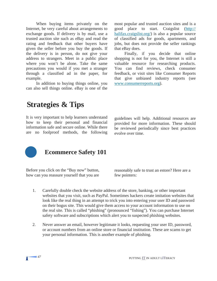When buying items privately on the Internet, be very careful about arrangements to exchange goods. If delivery is by mail, use a trusted auction site such as eBay and read the rating and feedback that other buyers have given the seller before you buy the goods. If the delivery is in person, do not give your address to strangers. Meet in a public place where you won't be alone. Take the same precautions you would if you met a stranger through a classified ad in the paper, for example.

In addition to buying things online, you can also sell things online. eBay is one of the

most popular and trusted auction sites and is a good place to start. Craigslist ([http://](http://halifax.craigslist.org/) [halifax.craigslist.org/\)](http://halifax.craigslist.org/) is also a popular source of classified ads for goods, apartments, and jobs, but does not provide the seller rankings that eBay does.

Finally, if you decide that online shopping is not for you, the Internet is still a valuable resource for researching products. You can find reviews, check consumer feedback, or visit sites like Consumer Reports that give unbiased industry reports (see [www.consumerreports.org\)](http://www.consumerreports.org).

## **Strategies & Tips**

It is very important to help learners understand how to keep their personal and financial information safe and secure online. While there are no foolproof methods, the following

guidelines will help. Additional resources are provided for more information. These should be reviewed periodically since best practices evolve over time.



## **Ecommerce Safety 101**

Before you click on the "Buy now" button, how can you reassure yourself that you are

reasonably safe to trust an estore? Here are a few pointers:

- 1. Carefully double check the website address of the store, banking, or other important websites that you visit, such as PayPal. Sometimes hackers create imitation websites that look like the real thing in an attempt to trick you into entering your user ID and password on their bogus site. This would give them access to your account information to use on the real site. This is called "phishing" (pronounced "fishing"). You can purchase Internet safety software and subscriptions which alert you to suspected phishing websites.
- 2. Never answer an email, however legitimate it looks, requesting your user ID, password, or account numbers from an online store or financial institution. These are scams to get your personal information. This is another example of phishing.

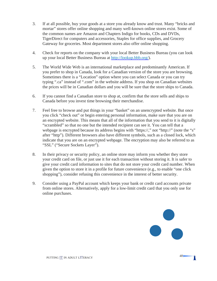- 3. If at all possible, buy your goods at a store you already know and trust. Many "bricks and mortar" stores offer online shopping and many well-known online stores exist. Some of the common names are Amazon and Chapters Indigo for books, CDs and DVDs, TigerDirect for computers and accessories, Staples for office supplies, and Grocery Gateway for groceries. Most department stores also offer online shopping.
- 4. Check for reports on the company with your local Better Business Bureau (you can look up your local Better Business Bureau at [http://lookup.bbb.org/\)](http://lookup.bbb.org/).
- 5. The World Wide Web is an international marketplace and predominantly American. If you prefer to shop in Canada, look for a Canadian version of the store you are browsing. Sometimes there is a "Location" option where you can select Canada or you can try typing ".ca" instead of ".com" in the website address. If you shop on Canadian websites the prices will be in Canadian dollars and you will be sure that the store ships to Canada.
- 6. If you cannot find a Canadian store to shop at, confirm that the store sells and ships to Canada before you invest time browsing their merchandise.
- 7. Feel free to browse and put things in your "basket" on an unencrypted website. But once you click "check out" or begin entering personal information, make sure that you are on an encrypted website. This means that all of the information that you send to it is digitally "scrambled" so that no one but the intended recipient can see it. You can tell that a webpage is encrypted because its address begins with "https://," not "http://" (note the "s" after "http"). Different browsers also have different symbols, such as a closed lock, which indicate that you are on an encrypted webpage. The encryption may also be referred to as "SSL" ("Secure Sockets Layer").
- 8. In their privacy or security policy, an online store may inform you whether they store your credit card on file, or just use it for each transaction without storing it. It is safer to give your credit card information to sites that do not store your credit card number. When given the option to store it in a profile for future convenience (e.g., to enable "one click shopping"), consider refusing this convenience in the interest of better security.
- 9. Consider using a PayPal account which keeps your bank or credit card accounts private from online stores. Alternatively, apply for a low-limit credit card that you only use for online purchases.



Π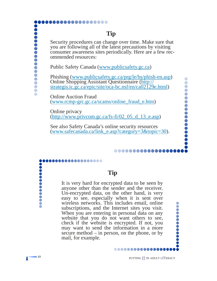## **Tip**

Security procedures can change over time. Make sure that you are following all of the latest precautions by visiting consumer awareness sites periodically. Here are a few recommended resources:

Public Safety Canada ([www.publicsafety.gc.ca\)](http://www.publicsafety.gc.ca)

,,,,,,,,,,,,,,,,

Phishing ([www.publicsafety.gc.ca/prg/le/bs/phish-en.asp\)](http://www.publicsafety.gc.ca/prg/le/bs/phish-en.asp) Online Shopping Assistant Questionnaire [\(http://](http://strategis.ic.gc.ca/epic/site/oca-bc.nsf/en/ca02129e.html) [strategis.ic.gc.ca/epic/site/oca-bc.nsf/en/ca02129e.html\)](http://strategis.ic.gc.ca/epic/site/oca-bc.nsf/en/ca02129e.html)

Online Auction Fraud ([www.rcmp-grc.gc.ca/scams/online\\_fraud\\_e.htm\)](http://www.rcmp-grc.gc.ca/scams/online_fraud_e.htm)

Online privacy  $(http://www.privcom.gc.ca/fs-fi/02 05 d 13 e.asp)$ 

See also Safety Canada's online security resources ([www.safecanada.ca/link\\_e.asp?category=3&topic=30\)](http://www.safecanada.ca/link_e.asp?category=3&topic=30).

,,,,,,,,,,,,,,

It is very hard for encrypted data to be seen by anyone other than the sender and the receiver. Un-encrypted data, on the other hand, is very easy to see, especially when it is sent over wireless networks. This includes email, online subscriptions, and the Internet sites you visit. When you are entering in personal data on any website that you do not want others to see, check if the website is encrypted. If not, you may want to send the information in a more secure method – in person, on the phone, or by mail, for example.

**Tip** 

..............

.........

...............

,,,,,,,,,,,

Š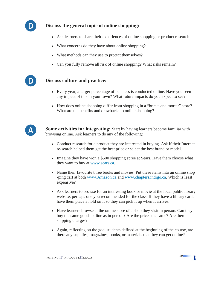

### **Discuss the general topic of online shopping:**

- Ask learners to share their experiences of online shopping or product research.
- What concerns do they have about online shopping?
- What methods can they use to protect themselves?
- Can you fully remove all risk of online shopping? What risks remain?



#### **Discuss culture and practice:**

- Every year, a larger percentage of business is conducted online. Have you seen any impact of this in your town? What future impacts do you expect to see?
- How does online shopping differ from shopping in a "bricks and mortar" store? What are the benefits and drawbacks to online shopping?



**Some activities for integrating:** Start by having learners become familiar with browsing online. Ask learners to do any of the following:

- Conduct research for a product they are interested in buying. Ask if their Internet re-search helped them get the best price or select the best brand or model.
- Imagine they have won a \$500 shopping spree at Sears. Have them choose what they want to buy at [www.sears.ca.](http://www.sears.ca)
- Name their favourite three books and movies. Put these items into an online shop -ping cart at both [www.Amazon.ca](http://www.Amazon.ca) and [www.chapters.indigo.ca.](http://www.chapters.indigo.ca) Which is least expensive?
- Ask learners to browse for an interesting book or movie at the local public library website, perhaps one you recommended for the class. If they have a library card, have them place a hold on it so they can pick it up when it arrives.
- Have learners browse at the online store of a shop they visit in person. Can they buy the same goods online as in person? Are the prices the same? Are there shipping charges?
- Again, reflecting on the goal students defined at the beginning of the course, are there any supplies, magazines, books, or materials that they can get online?



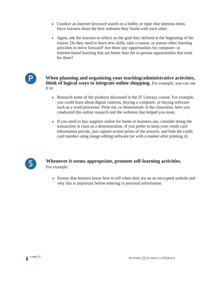- Conduct an Internet keyword search on a hobby or topic that interests them. Have learners share the best websites they found with each other.
- Again, ask the learners to reflect on the goal they defined at the beginning of the course. Do they need to learn new skills, take a course, or pursue other learning activities to move forward? Are there any opportunities for computer- or Internet-based learning that are better than the in-person opportunities that exist for them?



**When planning and organizing your teaching/administrative activities, think of logical ways to integrate online shopping.** For example, you can use it to:

- Research some of the products discussed in the IT Literacy course. For example, you could learn about digital cameras, buying a computer, or buying software such as a word processor. Print out, or demonstrate in the classroom, how you conducted this online research and the websites that helped you most.
- If you need to buy supplies online for home or business use, consider doing the transaction in class as a demonstration. If you prefer to keep your credit card information private, just capture screen prints of the process, and hide the credit card number using image editing software (or with a marker after printing it).



## **Whenever it seems appropriate, promote self-learning activities.**  For example:

• Ensure that learners know how to tell when they are on an encrypted website and why this is important before entering in personal information.

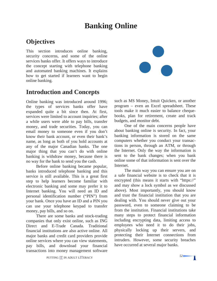## **Banking Online**

## **Objectives**

This section introduces online banking, security concerns, and some of the online services banks offer. It offers ways to introduce the concept starting with telephone banking and automated banking machines. It explains how to get started if learners want to begin online banking.

## **Introduction and Concepts**

Online banking was introduced around 1996; the types of services banks offer have expanded quite a bit since then. At first, services were limited to account inquiries; after a while users were able to pay bills, transfer money, and trade securities. Today, you can email money to someone even if you don't know their bank account, or even their bank's name, as long as both of you hold accounts at any of the major Canadian banks. The one major thing that you can't do with online banking is withdraw money, because there is no way for the bank to send you the cash.

Before online banking became popular, banks introduced telephone banking and this service is still available. This is a great first step to help learners become familiar with electronic banking and some may prefer it to Internet banking. You will need an ID and personal identification number ("PIN") from your bank. Once you have an ID and a PIN you can use your telephone keypad to transfer money, pay bills, and so on.

There are some banks and stock-trading companies that only exist online, such as ING Direct and E-Trade Canada. Traditional financial institutions are also active online. All major banks and credit card providers provide online services where you can view statements, pay bills, and download your financial transactions into money management software



One of the main concerns people have about banking online is security. In fact, your banking information is stored on the same computers whether you conduct your transactions in person, through an ATM, or through the Internet. Only the way the information is sent to the bank changes; when you bank online some of that information is sent over the Internet.

The main way you can ensure you are on a safe financial website is to check that it is encrypted (this means it starts with "https://" and may show a lock symbol as we discussed above). Most importantly, you should know and trust the financial institution that you are dealing with. You should never give out your password, even to someone claiming to be from the institution. Financial institutions take many steps to protect financial information including encrypting data, limiting access to employees who need it to do their jobs, physically locking up their servers, and protecting their Internet connections from intruders. However, some security breaches have occurred at several major banks.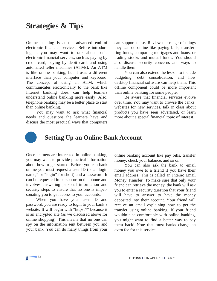## **Strategies & Tips**

Online banking is at the advanced end of electronic financial services. Before introducing it, you may want to talk about basic electronic financial services, such as paying by credit card, paying by debit card, and using automated teller machines (ATMs). An ATM is like online banking, but it uses a different interface than your computer and keyboard. The concept of using an ATM, which communicates electronically to the bank like Internet banking does, can help learners understand online banking more easily. Also, telephone banking may be a better place to start than online banking.

You may want to ask what financial needs and questions the learners have and discuss the most practical ways that computers

can support these. Review the range of things they can do online like paying bills, transferring funds, comparing mortgages and loans, or trading stocks and mutual funds. You should also discuss security concerns and ways to handle them.

You can also extend the lesson to include budgeting, debt consolidation, and how desktop financial software can help them. This offline component could be more important than online banking for some people.

Be aware that financial services evolve over time. You may want to browse the banks' websites for new services, talk in class about products you have seen advertised, or learn more about a special financial topic of interest.



## **Setting Up an Online Bank Account**

Once learners are interested in online banking, you may want to provide practical information about how to get started. Before you can bank online you must request a user ID (or a "login name," or "login" for short) and a password. It can be requested in person or on the phone and involves answering personal information and security steps to ensure that no one is impersonating you to get access to your accounts.

When you have your user ID and password, you are ready to login to your bank's website. It will begin with "https://" because it is an encrypted site (as we discussed above for online shopping). This means that no one can spy on the information sent between you and your bank. You can do many things from your

online banking account like pay bills, transfer money, check your balance, and so on.

You can also ask the bank to email money you owe to a friend if you have their email address. This is called an Interac Email Money Transfer. To make sure that only your friend can retrieve the money, the bank will ask you to enter a security question that your friend will have to answer to have the money deposited into their account. Your friend will receive an email explaining how to get the transfer using online banking. If your friend wouldn't be comfortable with online banking, you might want to find a better way to pay them back! Note that most banks charge an extra fee for this service.

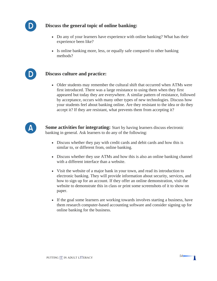

D

## **Discuss the general topic of online banking:**

- Do any of your learners have experience with online banking? What has their experience been like?
- Is online banking more, less, or equally safe compared to other banking methods?

## **Discuss culture and practice:**

• Older students may remember the cultural shift that occurred when ATMs were first introduced. There was a large resistance to using them when they first appeared but today they are everywhere. A similar pattern of resistance, followed by acceptance, occurs with many other types of new technologies. Discuss how your students feel about banking online. Are they resistant to the idea or do they accept it? If they are resistant, what prevents them from accepting it?



**Some activities for integrating:** Start by having learners discuss electronic banking in general. Ask learners to do any of the following:

- Discuss whether they pay with credit cards and debit cards and how this is similar to, or different from, online banking.
- Discuss whether they use ATMs and how this is also an online banking channel with a different interface than a website.
- Visit the website of a major bank in your town, and read its introduction to electronic banking. They will provide information about security, services, and how to sign up for an account. If they offer an online demonstration, visit the website to demonstrate this in class or print some screenshots of it to show on paper.
- If the goal some learners are working towards involves starting a business, have them research computer-based accounting software and consider signing up for online banking for the business.

Π

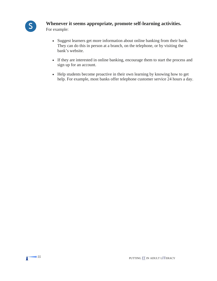

### **Whenever it seems appropriate, promote self-learning activities.**

For example:

- Suggest learners get more information about online banking from their bank. They can do this in person at a branch, on the telephone, or by visiting the bank's website.
- If they are interested in online banking, encourage them to start the process and sign up for an account.
- Help students become proactive in their own learning by knowing how to get help. For example, most banks offer telephone customer service 24 hours a day.

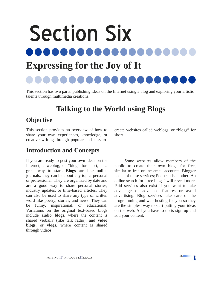## Section Six 80 O O O **Expressing for the Joy of It**

This section has two parts: publishing ideas on the Internet using a blog and exploring your artistic talents through multimedia creations.

## **Talking to the World using Blogs**

## **Objective**

This section provides an overview of how to share your own experiences, knowledge, or creative writing through popular and easy-tocreate websites called weblogs, or "blogs" for short.

## **Introduction and Concepts**

If you are ready to post your own ideas on the Internet, a weblog, or "blog" for short, is a great way to start. **Blogs** are like online journals; they can be about any topic, personal or professional. They are organized by date and are a good way to share personal stories, industry updates, or time-based articles. They can also be used to share any type of written word like poetry, stories, and news. They can be funny, inspirational, or educational. Variations on the original text-based blogs include **audio blogs**, where the content is shared verbally (like talk radio), and **video blogs**, or **vlogs**, where content is shared through videos.

Some websites allow members of the public to create their own blogs for free, similar to free online email accounts. Blogger is one of these services; Podbean is another. An online search for "free blogs" will reveal more. Paid services also exist if you want to take advantage of advanced features or avoid advertising. Blog services take care of the programming and web hosting for you so they are the simplest way to start putting your ideas on the web. All you have to do is sign up and add your content.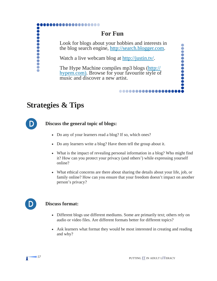## **For Fun**

Look for blogs about your hobbies and interests in the blog search engine, [http://search.blogger.com.](http://search.blogger.com)

Watch a live webcam blog at [http://justin.tv/.](http://justin.tv/)

The Hype Machine compiles mp3 blogs ([http://](http://hypem.com) [hypem.com\)](http://hypem.com). Browse for your favourite style of music and discover a new artist.

## **Strategies & Tips**



**...........** 

 $\ddot{\bullet}$ 

## **Discuss the general topic of blogs:**

...............

- Do any of your learners read a blog? If so, which ones?
- Do any learners write a blog? Have them tell the group about it.
- What is the impact of revealing personal information in a blog? Who might find it? How can you protect your privacy (and others') while expressing yourself online?

...............

• What ethical concerns are there about sharing the details about your life, job, or family online? How can you ensure that your freedom doesn't impact on another person's privacy?



## **D** Discuss format:

- Different blogs use different mediums. Some are primarily text; others rely on audio or video files. Are different formats better for different topics?
- Ask learners what format they would be most interested in creating and reading and why?



.........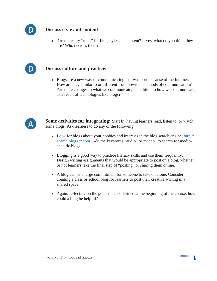

### **Discuss style and content:**

• Are there any "rules" for blog styles and content? If yes, what do you think they are? Who decides them?



#### **Discuss culture and practice:**

• Blogs are a new way of communicating that was born because of the Internet. How are they similar to or different from previous methods of communication? Are there changes in what we communicate, in addition to how we communicate, as a result of technologies like blogs?



**Some activities for integrating:** Start by having learners read, listen to, or watch some blogs. Ask learners to do any of the following:

- Look for blogs about your hobbies and interests in the blog search engine,  $\frac{http://}{}$ [search.blogger.com.](http://search.blogger.com) Add the keywords "audio" or "video" to search for mediaspecific blogs.
- Blogging is a good way to practice literacy skills and use them frequently. Design writing assignments that would be appropriate to post on a blog, whether or not learners take the final step of "posting" or sharing them online.
- A blog can be a large commitment for someone to take on alone. Consider creating a class or school blog for learners to post their creative writing in a shared space.
- Again, reflecting on the goal students defined at the beginning of the course, how could a blog be helpful?

Π

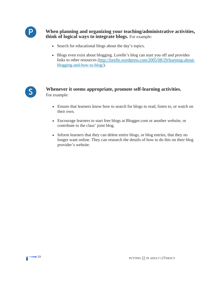

**When planning and organizing your teaching/administrative activities, think of logical ways to integrate blogs.** For example:

- Search for educational blogs about the day's topics.
- Blogs even exist about blogging. Lorelle's blog can start you off and provides links to other resources ([http://lorelle.wordpress.com/2005/08/29/learning-about](http://lorelle.wordpress.com/2005/08/29/learning-about-blogging-and-how-to-blog/)[blogging-and-how-to-blog/\)](http://lorelle.wordpress.com/2005/08/29/learning-about-blogging-and-how-to-blog/).



## **Whenever it seems appropriate, promote self-learning activities.**  For example:

- Ensure that learners know how to search for blogs to read, listen to, or watch on their own.
- Encourage learners to start free blogs at Blogger.com or another website, or contribute to the class' joint blog.
- Inform learners that they can delete entire blogs, or blog entries, that they no longer want online. They can research the details of how to do this on their blog provider's website.

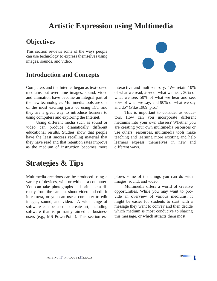## **Artistic Expression using Multimedia**

## **Objectives**

This section reviews some of the ways people can use technology to express themselves using images, sounds, and video.

## **Introduction and Concepts**

Computers and the Internet began as text-based mediums but over time images, sound, video and animation have become an integral part of the new technologies. Multimedia tools are one of the most exciting parts of using ICT and they are a great way to introduce learners to using computers and exploring the Internet.

Using different media such as sound or video can produce dramatically different educational results. Studies show that people have the least success recalling material that they have read and that retention rates improve as the medium of instruction becomes more



interactive and multi-sensory. "We retain 10% of what we read, 20% of what we hear, 30% of what we see, 50% of what we hear and see, 70% of what we say, and 90% of what we say and do" (Pike 1989, p.61).

This is important to consider as educators. How can you incorporate different mediums into your own classes? Whether you are creating your own multimedia resources or use others' resources, multimedia tools make teaching and learning more exciting and help learners express themselves in new and different ways.

## **Strategies & Tips**

Multimedia creations can be produced using a variety of devices, with or without a computer. You can take photographs and print them directly from the camera, shoot video and edit it in-camera, or you can use a computer to edit images, sound, and video. A wide range of software can be used to create art, including software that is primarily aimed at business users (e.g., MS PowerPoint). This section explores some of the things you can do with images, sound, and video.

Multimedia offers a world of creative opportunities. While you may want to provide an overview of various mediums, it might be easier for students to start with a message they want to convey and then decide which medium is most conducive to sharing this message, or which attracts them most.

Π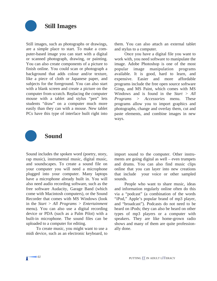

Still images, such as photographs or drawings, are a simple place to start. To make a computer-based image you can start with a digital or scanned photograph, drawing, or painting. You can also create components of a picture to finish online. You could scan or photograph a background that adds colour and/or texture, like a piece of cloth or Japanese paper, and subjects for the foreground. You can also start with a blank screen and create a picture on the computer from scratch. Replacing the computer mouse with a tablet and stylus "pen" lets students "draw" on a computer much more easily than they can with a mouse. New tablet PCs have this type of interface built right into them. You can also attach an external tablet and stylus to a computer.

Once you have a digital file you want to work with, you need software to manipulate the image. Adobe Photoshop is one of the most popular image manipulation programs available. It is good, hard to learn, and expensive. Easier and more affordable programs include the free open source software Gimp, and MS Paint, which comes with MS Windows and is found in the *Start > All Programs > Accessories* menu. These programs allow you to import graphics and photographs, change and overlay them, cut and paste elements, and combine images in new ways.



## **Sound**

Sound includes the spoken word (poetry, story, rap music), instrumental music, digital music, and soundscapes. To create a sound file on your computer you will need a microphone plugged into your computer. Many laptops have a microphone already built in. You will also need audio recording software, such as the free software Audacity, Garage Band (which come with Macintosh computers), or the Sound Recorder that comes with MS Windows (look in the *Start > All Programs > Entertainment*  menu). You can also use a digital recording device or PDA (such as a Palm Pilot) with a built-in microphone. The sound files can be uploaded to a computer for editing.

To create music, you might want to use a midi device, such as an electronic keyboard, to

import sound to the computer. Other instruments are going digital as well – even trumpets and drums. You can also find music clips online that you can layer into new creations that include your voice or other sampled sounds.

People who want to share music, ideas and information regularly online often do this via a "podcast" (a combination of the words "iPod," Apple's popular brand of mp3 player, and "broadcast"). Podcasts do not need to be heard on iPods; they can also be heard on other types of mp3 players or a computer with speakers. They are like home-grown radio shows and many of them are quite professionally done.

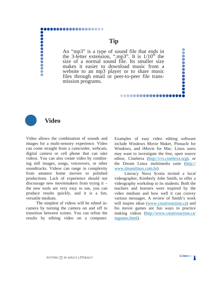## ............... ...........

## **Tip**

An "mp3" is a type of sound file that ends in the 3-letter extension, ".mp3". It is  $1/10<sup>th</sup>$  the size of a normal sound file. Its smaller size makes it easier to download music from a website to an mp3 player or to share music files through email or peer-to-peer file transmission programs.

## **Video**

 $\bullet$ 

Video allows the combination of sounds and images for a multi-sensory experience. Video can come straight from a camcorder, webcam, digital camera or cell phone that can take videos. You can also create video by combining still images, songs, voiceovers, or other soundtracks. Videos can range in complexity from amateur home movies to polished productions. Lack of experience should not discourage new moviemakers from trying it – the new tools are very easy to use, you can produce results quickly, and it is a fun, versatile medium.

The simplest of videos will be edited incamera by turning the camera on and off to transition between scenes. You can refine the results by editing video on a computer. Examples of easy video editing software include Windows Movie Maker, Pinnacle for Windows, and iMovie for Mac. Linux users may want to investigate the free, open source editor, Cinelerra (<http://cvs.cinelerra.org>), or the Dream Linux multimedia suite ([http://](http://www.dreamlinux.com.br)  [www.dreamlinux.com.br\)](http://www.dreamlinux.com.br).

...............

Literacy Nova Scotia invited a local videographer, Kimberly John Smith, to offer a videography workshop to its students. Both the teachers and learners were inspired by the video medium and how well it can convey various messages. A review of Smith's work will inspire ideas ([www.creativeaction.ca\)](http://www.creativeaction.ca) and his movie games are fun ways to practice making videos [\(http://www.creativeaction.ca/](http://www.creativeaction.ca/mgames.html)  [mgames.html\)](http://www.creativeaction.ca/mgames.html).

,,,,,,,,,,,,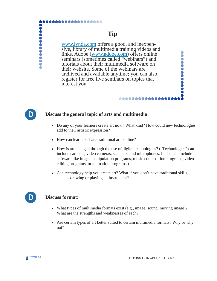# ,,,,,,,,,,,,,, **...........**

## **Tip**

[www.lynda.com](http://www.lynda.com) offers a good, and inexpensive, library of multimedia training videos and links. Adobe [\(www.adobe.com\)](http://www.adobe.com) offers online seminars (sometimes called "webinars") and tutorials about their multimedia software on their website. Some of the webinars are archived and available anytime; you can also register for free live seminars on topics that interest you.

#### **Discuss the general topic of arts and multimedia:**

• Do any of your learners create art now? What kind? How could new technologies add to their artistic expression?

..............

- How can learners share traditional arts online?
- How is art changed through the use of digital technologies? ("Technologies" can include cameras, video cameras, scanners, and microphones. It also can include software like image manipulation programs, music composition programs, videoediting programs, or animation programs.)
- Can technology help you create art? What if you don't have traditional skills, such as drawing or playing an instrument?



D

#### **Discuss format:**

- What types of multimedia formats exist (e.g., image, sound, moving image)? What are the strengths and weaknesses of each?
- Are certain types of art better suited to certain multimedia formats? Why or why not?

..........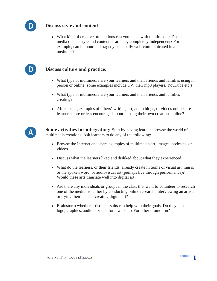

D

#### **Discuss style and content:**

• What kind of creative productions can you make with multimedia? Does the media dictate style and content or are they completely independent? For example, can humour and tragedy be equally well-communicated in all mediums?

#### **Discuss culture and practice:**

- What type of multimedia are your learners and their friends and families using in person or online (some examples include TV, their mp3 players, YouTube etc.)
- What type of multimedia are your learners and their friends and families creating?
- After seeing examples of others' writing, art, audio blogs, or videos online, are learners more or less encouraged about posting their own creations online?



**Some activities for integrating:** Start by having learners browse the world of multimedia creations. Ask learners to do any of the following:

- Browse the Internet and share examples of multimedia art, images, podcasts, or videos.
- Discuss what the learners liked and disliked about what they experienced.
- What do the learners, or their friends, already create in terms of visual art, music or the spoken word, or audiovisual art (perhaps live through performance)? Would these arts translate well into digital art?
- Are there any individuals or groups in the class that want to volunteer to research one of the mediums, either by conducting online research, interviewing an artist, or trying their hand at creating digital art?
- Brainstorm whether artistic pursuits can help with their goals. Do they need a logo, graphics, audio or video for a website? For other promotion?



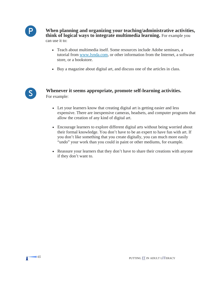

**When planning and organizing your teaching/administrative activities, think of logical ways to integrate multimedia learning.** For example you can use it to:

- Teach about multimedia itself. Some resources include Adobe seminars, a tutorial from [www.lynda.com,](http://www.lynda.com) or other information from the Internet, a software store, or a bookstore.
- Buy a magazine about digital art, and discuss one of the articles in class.



## **Whenever it seems appropriate, promote self-learning activities.**  For example:

- Let your learners know that creating digital art is getting easier and less expensive. There are inexpensive cameras, headsets, and computer programs that allow the creation of any kind of digital art.
- Encourage learners to explore different digital arts without being worried about their formal knowledge. You don't have to be an expert to have fun with art. If you don't like something that you create digitally, you can much more easily "undo" your work than you could in paint or other mediums, for example.
- Reassure your learners that they don't have to share their creations with anyone if they don't want to.

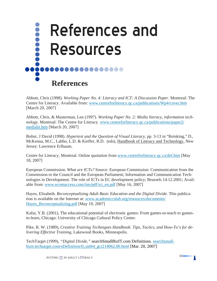

Abbott, Chris (1998). *Working Paper No. 4: Literacy and ICT: A Discussion Paper.* Montreal: The Centre for Literacy. Available from: [www.centreforliteracy.qc.ca/publications/Wp4/cover.htm](http://www.centreforliteracy.qc.ca/publications/Wp4/cover.htm)  [March 20, 2007]

Abbott, Chris, & Masterman, Len (1997). *Working Paper No. 2: Media literacy, information technology.* Montreal: The Centre for Literacy. [www.centreforliteracy.qc.ca/publications/paper2/](http://www.centreforliteracy.qc.ca/publications/paper2/medialit.htm)  [medialit.htm](http://www.centreforliteracy.qc.ca/publications/paper2/medialit.htm) [March 20, 2007]

Bolter, J David (1998). *Hypertext and the Question of Visual Literacy*, pp. 3-13 in "Reinking," D., McKenna, M.C., Labbo, L.D. & Kieffer, R.D. (eds), Handbook of Literacy and Technology. New Jersey: Lawrence Erlbaum.

Centre for Literacy, Montreal. Online quotation from [www.centreforliteracy.qc.ca/def.htm](http://www.centreforliteracy.qc.ca/def.htm) [May 18, 2007]

able from: www.ecomaccess.com/iim/pdf/ict en.pdf [May 16, 2007] European Commission. *What are ICTs?* Source: European Commission: Communication from the Commission to the Council and the European Parliament; Information and Communication Technologies in Development. The role of ICTs in EC development policy; Brussels 14.12.2001; Avail-

Hayes, Elisabeth. *Reconceptualizing Adult Basic Education and the Digital Divide*. This publication is available on the Internet at: [www.academiccolab.org/resources/documents/](http://www.academiccolab.org/resources/documents/Hayes_Reconceptualizing.pdf)  Hayes Reconceptualizing.pdf [May 19, 2007]

Kafai, Y.B. (2001), The educational potential of electronic games: From games-to-teach to gamesto-learn, Chicago: University of Chicago Cultural Policy Center.

Pike, R. W. (1989), *Creative Training Techniques Handbook: Tips, Tactics, and How-To's for delivering Effective Training*, Lakewood Books, Minneapolis.

TechTarget (1999), *"Digital Divide,"* searchSmallBizIT.com Definitions. [searchsmall](http://searchsmallbizit.techtarget.com/sDefinition/0,,sid44_gci214062,00.html)[bizit.techtarget.com/sDefinition/0,,sid44\\_gci214062,00.html](http://searchsmallbizit.techtarget.com/sDefinition/0,,sid44_gci214062,00.html) [Mar. 20, 2007]

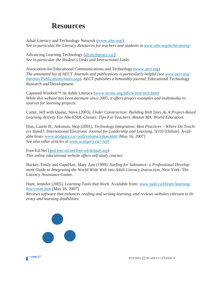## **Resources**

Adult Literacy and Technology Network ([www.altn.org/](http://www.altn.org/)) *See in particular the Literacy Resources for teachers and students at [www.altn.org/techtraining/](http://www.altn.org/techtraining/).* 

Advancing Learning Technology ([alt.ns.literacy.ca/\)](http://www.alt.ns.literacy.ca/) *See in particular the Student's Links and Instructional Links.* 

Association for Educational Communications and Technology [\(www.aect.org\)](http://www.aect.org)  *The annotated list of AECT Journals and publications is particularly helpful (see [www.aect.org/](http://www.aect.org/Intranet/Publications/index.asp)  [Intranet/Publications/index.asp\)](http://www.aect.org/Intranet/Publications/index.asp). AECT publishes a bimonthly journal,* Educational Technology Research and Development*.* 

Captured Wisdom™ on Adult Literacy [\(www.ncrtec.org/pd/cw/rest/tech.htm\)](http://www.ncrtec.org/pd/cw/rest/tech.htm) *While this website has been dormant since 2005, it offers project examples and multimedia resources for learning projects.* 

Carter, Jeff with Quann, Steve (2003). *Under Construction: Building Web Sites As A Project-Based Learning Activity For Abe/ESOL Classes: Tips For Teachers. Boston MA: World Education.* 

 *See also other articles at [www.ucalgary.ca/~iejll](http://www.ucalgary.ca/~iejll)* Dias, Laurie B., Atkinson, Skip (2001), *Technology Integration: Best Practices – Where Do Teach*ers Stand?, International Electronic Journal for Leadership and Learning, 5(10) [Online]. Available from: [www.ucalgary.ca/~iejll/volume5/dias.html](http://www.ucalgary.ca/~iejll/volume5/dias.html) [May 16, 2007]

Free-Ed.Net [\(ged.free-ed.net/free-ed/default.asp\)](http://ged.free-ed.net/free-ed/default.asp) *This online educational website offers self-study courses.* 

Hacker, Emily and CapeHart, Mary Ann (1999). *Surfing for Substance: a Professional Development Guide to Integrating the World Wide Web into Adult Literacy Instruction,* New York: The Literacy Assistance Center.

Hunt, Jennifer (2005). *Learning Tools that Work*. Available from: [www.nald.ca/library/learning/](http://www.nald.ca/library/learning/lttw/cover.htm)  [lttw/cover.htm](http://www.nald.ca/library/learning/lttw/cover.htm) [May 18, 2007]

*Reviews software that enhances reading and writing learning, and reviews websites relevant to literacy and learning disabilities.*